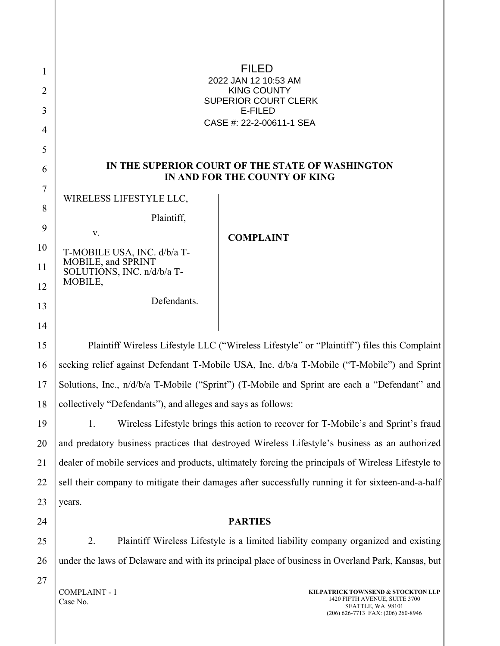| 1<br>2<br>3<br>4 |                                                   | GEGGÁROIÐ ÁFGÁF€KÍ HÁOET<br><b>SOO Ő ÁÔU VID VÝ</b><br>ÙWÚÒÜQUÜÁÔUWÜVÁÔŠÒÜS<br>ÒËZŠÒÖ<br>ÔŒÙÒÂN AGGE E SE FE EFIE Á LO CE |
|------------------|---------------------------------------------------|---------------------------------------------------------------------------------------------------------------------------|
| 5<br>6           |                                                   | IN THE SUPERIOR COURT OF THE STATE OF WASHINGTON                                                                          |
| 7                |                                                   | IN AND FOR THE COUNTY OF KING                                                                                             |
| 8                | WIRELESS LIFESTYLE LLC,                           |                                                                                                                           |
| 9                | Plaintiff,<br>V.                                  | <b>COMPLAINT</b>                                                                                                          |
| 10               | T-MOBILE USA, INC. d/b/a T-<br>MOBILE, and SPRINT |                                                                                                                           |
| 11<br>12         | SOLUTIONS, INC. n/d/b/a T-<br>MOBILE,             |                                                                                                                           |
| 13               | Defendants.                                       |                                                                                                                           |
| 14               |                                                   |                                                                                                                           |
| 15               |                                                   | Plaintiff Wireless Lifestyle LLC ("Wireless Lifestyle" or "Plaintiff") files this Complaint                               |
| 16               |                                                   | seeking relief against Defendant T-Mobile USA, Inc. d/b/a T-Mobile ("T-Mobile") and Sprint                                |

17 18 seeking relief against Defendant T-Mobile USA, Inc. d/b/a T-Mobile ("T-Mobile") and Sprint Solutions, Inc., n/d/b/a T-Mobile ("Sprint") (T-Mobile and Sprint are each a "Defendant" and collectively "Defendants"), and alleges and says as follows:

19 20 21 22 23 1. Wireless Lifestyle brings this action to recover for T-Mobile's and Sprint's fraud and predatory business practices that destroyed Wireless Lifestyle's business as an authorized dealer of mobile services and products, ultimately forcing the principals of Wireless Lifestyle to sell their company to mitigate their damages after successfully running it for sixteen-and-a-half years.

### **PARTIES**

2. Plaintiff Wireless Lifestyle is a limited liability company organized and existing under the laws of Delaware and with its principal place of business in Overland Park, Kansas, but

COMPLAINT - 1 Case No.

24

25

26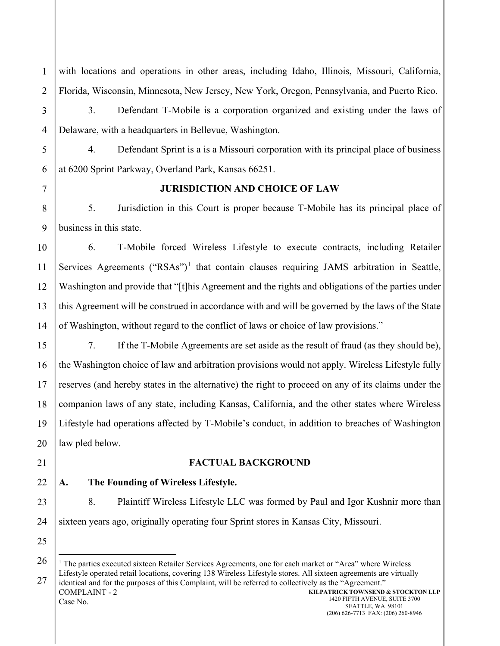with locations and operations in other areas, including Idaho, Illinois, Missouri, California, Florida, Wisconsin, Minnesota, New Jersey, New York, Oregon, Pennsylvania, and Puerto Rico.

1

2

3

4

5

6

3. Defendant T-Mobile is a corporation organized and existing under the laws of Delaware, with a headquarters in Bellevue, Washington.

4. Defendant Sprint is a is a Missouri corporation with its principal place of business at 6200 Sprint Parkway, Overland Park, Kansas 66251.

7

8

9

# **JURISDICTION AND CHOICE OF LAW**

5. Jurisdiction in this Court is proper because T-Mobile has its principal place of business in this state.

10 11 12 13 14 6. T-Mobile forced Wireless Lifestyle to execute contracts, including Retailer Services Agreements (" $RSAs$ ")<sup>[1](#page-1-0)</sup> that contain clauses requiring JAMS arbitration in Seattle, Washington and provide that "[t]his Agreement and the rights and obligations of the parties under this Agreement will be construed in accordance with and will be governed by the laws of the State of Washington, without regard to the conflict of laws or choice of law provisions."

15 16 17 18 19 20 7. If the T-Mobile Agreements are set aside as the result of fraud (as they should be), the Washington choice of law and arbitration provisions would not apply. Wireless Lifestyle fully reserves (and hereby states in the alternative) the right to proceed on any of its claims under the companion laws of any state, including Kansas, California, and the other states where Wireless Lifestyle had operations affected by T-Mobile's conduct, in addition to breaches of Washington law pled below.

**FACTUAL BACKGROUND**

22

21

23

24

# **A. The Founding of Wireless Lifestyle.**

8. Plaintiff Wireless Lifestyle LLC was formed by Paul and Igor Kushnir more than sixteen years ago, originally operating four Sprint stores in Kansas City, Missouri.

<span id="page-1-0"></span><sup>27</sup> COMPLAINT - 2 Case No. **KILPATRICK TOWNSEND & STOCKTON LLP** <sup>1</sup> The parties executed sixteen Retailer Services Agreements, one for each market or "Area" where Wireless Lifestyle operated retail locations, covering 138 Wireless Lifestyle stores. All sixteen agreements are virtually identical and for the purposes of this Complaint, will be referred to collectively as the "Agreement."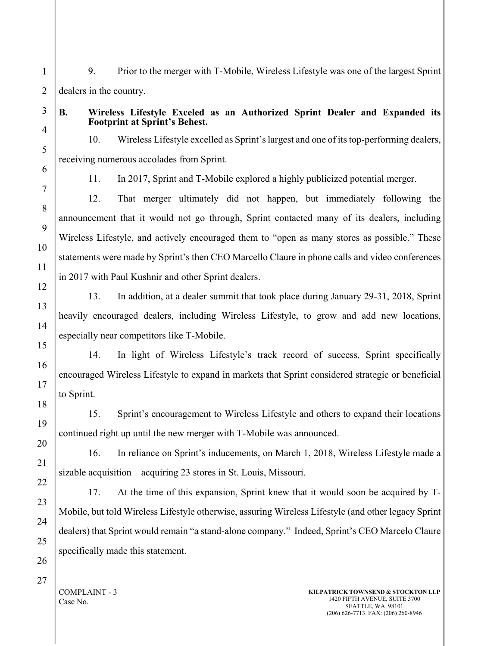1 9. Prior to the merger with T-Mobile, Wireless Lifestyle was one of the largest Sprint dealers in the country.

### **B. Wireless Lifestyle Exceled as an Authorized Sprint Dealer and Expanded its Footprint at Sprint's Behest.**

10. Wireless Lifestyle excelled as Sprint's largest and one of its top-performing dealers, receiving numerous accolades from Sprint.

11. In 2017, Sprint and T-Mobile explored a highly publicized potential merger.

12. That merger ultimately did not happen, but immediately following the announcement that it would not go through, Sprint contacted many of its dealers, including Wireless Lifestyle, and actively encouraged them to "open as many stores as possible." These statements were made by Sprint's then CEO Marcello Claure in phone calls and video conferences in 2017 with Paul Kushnir and other Sprint dealers.

13. In addition, at a dealer summit that took place during January 29-31, 2018, Sprint heavily encouraged dealers, including Wireless Lifestyle, to grow and add new locations, especially near competitors like T-Mobile.

14. In light of Wireless Lifestyle's track record of success, Sprint specifically encouraged Wireless Lifestyle to expand in markets that Sprint considered strategic or beneficial to Sprint.

15. Sprint's encouragement to Wireless Lifestyle and others to expand their locations continued right up until the new merger with T-Mobile was announced.

16. In reliance on Sprint's inducements, on March 1, 2018, Wireless Lifestyle made a sizable acquisition – acquiring 23 stores in St. Louis, Missouri.

17. At the time of this expansion, Sprint knew that it would soon be acquired by T-Mobile, but told Wireless Lifestyle otherwise, assuring Wireless Lifestyle (and other legacy Sprint dealers) that Sprint would remain "a stand-alone company." Indeed, Sprint's CEO Marcelo Claure specifically made this statement.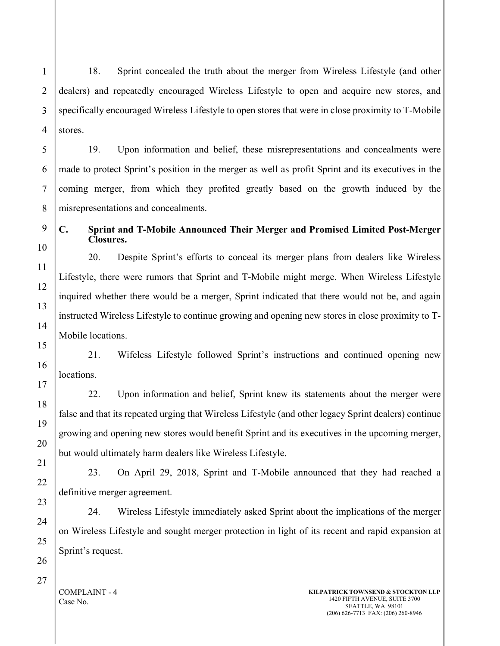1 2 3 18. Sprint concealed the truth about the merger from Wireless Lifestyle (and other dealers) and repeatedly encouraged Wireless Lifestyle to open and acquire new stores, and specifically encouraged Wireless Lifestyle to open stores that were in close proximity to T-Mobile stores.

19. Upon information and belief, these misrepresentations and concealments were made to protect Sprint's position in the merger as well as profit Sprint and its executives in the coming merger, from which they profited greatly based on the growth induced by the misrepresentations and concealments.

# **C. Sprint and T-Mobile Announced Their Merger and Promised Limited Post-Merger Closures.**

20. Despite Sprint's efforts to conceal its merger plans from dealers like Wireless Lifestyle, there were rumors that Sprint and T-Mobile might merge. When Wireless Lifestyle inquired whether there would be a merger, Sprint indicated that there would not be, and again instructed Wireless Lifestyle to continue growing and opening new stores in close proximity to T-Mobile locations.

21. Wifeless Lifestyle followed Sprint's instructions and continued opening new locations.

22. Upon information and belief, Sprint knew its statements about the merger were false and that its repeated urging that Wireless Lifestyle (and other legacy Sprint dealers) continue growing and opening new stores would benefit Sprint and its executives in the upcoming merger, but would ultimately harm dealers like Wireless Lifestyle.

23. On April 29, 2018, Sprint and T-Mobile announced that they had reached a definitive merger agreement.

24. Wireless Lifestyle immediately asked Sprint about the implications of the merger on Wireless Lifestyle and sought merger protection in light of its recent and rapid expansion at Sprint's request.

### COMPLAINT - 4 Case No.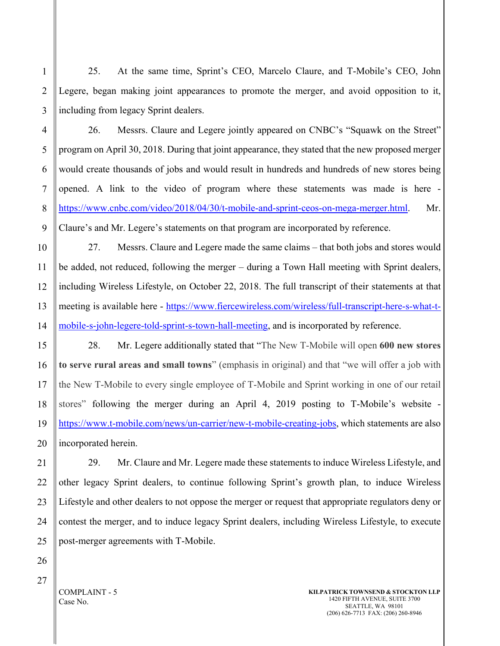25. At the same time, Sprint's CEO, Marcelo Claure, and T-Mobile's CEO, John Legere, began making joint appearances to promote the merger, and avoid opposition to it, including from legacy Sprint dealers.

26. Messrs. Claure and Legere jointly appeared on CNBC's "Squawk on the Street" program on April 30, 2018. During that joint appearance, they stated that the new proposed merger would create thousands of jobs and would result in hundreds and hundreds of new stores being opened. A link to the video of program where these statements was made is here [https://www.cnbc.com/video/2018/04/30/t-mobile-and-sprint-ceos-on-mega-merger.html.](https://www.cnbc.com/video/2018/04/30/t-mobile-and-sprint-ceos-on-mega-merger.html) Mr. Claure's and Mr. Legere's statements on that program are incorporated by reference.

27. Messrs. Claure and Legere made the same claims – that both jobs and stores would be added, not reduced, following the merger – during a Town Hall meeting with Sprint dealers, including Wireless Lifestyle, on October 22, 2018. The full transcript of their statements at that meeting is available here - [https://www.fiercewireless.com/wireless/full-transcript-here-s-what-t](https://www.fiercewireless.com/wireless/full-transcript-here-s-what-t-mobile-s-john-legere-told-sprint-s-town-hall-meeting)[mobile-s-john-legere-told-sprint-s-town-hall-meeting,](https://www.fiercewireless.com/wireless/full-transcript-here-s-what-t-mobile-s-john-legere-told-sprint-s-town-hall-meeting) and is incorporated by reference.

28. Mr. Legere additionally stated that "The New T-Mobile will open **600 new stores to serve rural areas and small towns**" (emphasis in original) and that "we will offer a job with the New T-Mobile to every single employee of T-Mobile and Sprint working in one of our retail stores" following the merger during an April 4, 2019 posting to T-Mobile's website [https://www.t-mobile.com/news/un-carrier/new-t-mobile-creating-jobs,](https://www.t-mobile.com/news/un-carrier/new-t-mobile-creating-jobs) which statements are also incorporated herein.

29. Mr. Claure and Mr. Legere made these statements to induce Wireless Lifestyle, and other legacy Sprint dealers, to continue following Sprint's growth plan, to induce Wireless Lifestyle and other dealers to not oppose the merger or request that appropriate regulators deny or contest the merger, and to induce legacy Sprint dealers, including Wireless Lifestyle, to execute post-merger agreements with T-Mobile.

1

2

3

COMPLAINT - 5 Case No.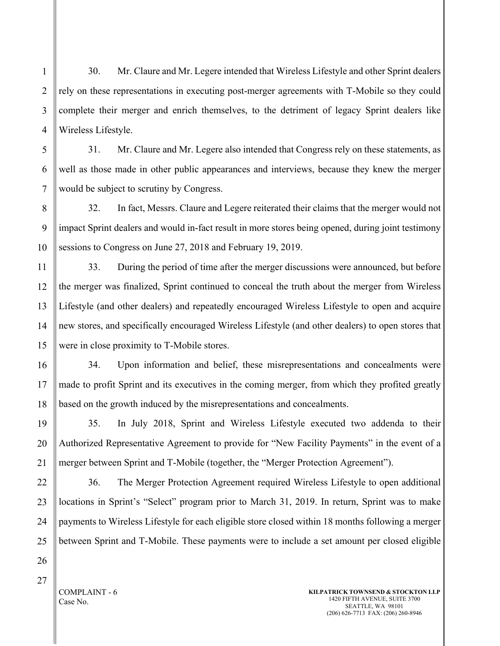4 30. Mr. Claure and Mr. Legere intended that Wireless Lifestyle and other Sprint dealers rely on these representations in executing post-merger agreements with T-Mobile so they could complete their merger and enrich themselves, to the detriment of legacy Sprint dealers like Wireless Lifestyle.

31. Mr. Claure and Mr. Legere also intended that Congress rely on these statements, as well as those made in other public appearances and interviews, because they knew the merger would be subject to scrutiny by Congress.

8 9 10 32. In fact, Messrs. Claure and Legere reiterated their claims that the merger would not impact Sprint dealers and would in-fact result in more stores being opened, during joint testimony sessions to Congress on June 27, 2018 and February 19, 2019.

33. During the period of time after the merger discussions were announced, but before the merger was finalized, Sprint continued to conceal the truth about the merger from Wireless Lifestyle (and other dealers) and repeatedly encouraged Wireless Lifestyle to open and acquire new stores, and specifically encouraged Wireless Lifestyle (and other dealers) to open stores that were in close proximity to T-Mobile stores.

34. Upon information and belief, these misrepresentations and concealments were made to profit Sprint and its executives in the coming merger, from which they profited greatly based on the growth induced by the misrepresentations and concealments.

35. In July 2018, Sprint and Wireless Lifestyle executed two addenda to their Authorized Representative Agreement to provide for "New Facility Payments" in the event of a merger between Sprint and T-Mobile (together, the "Merger Protection Agreement").

36. The Merger Protection Agreement required Wireless Lifestyle to open additional locations in Sprint's "Select" program prior to March 31, 2019. In return, Sprint was to make payments to Wireless Lifestyle for each eligible store closed within 18 months following a merger between Sprint and T-Mobile. These payments were to include a set amount per closed eligible

1

2

3

5

6

7

11

12

COMPLAINT - 6 Case No.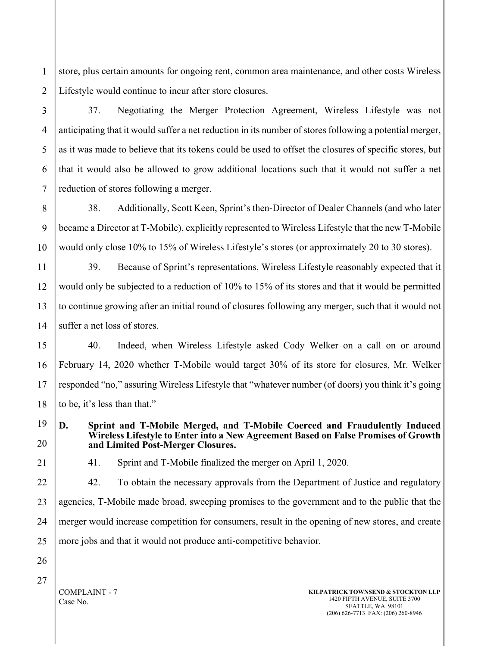1 2 store, plus certain amounts for ongoing rent, common area maintenance, and other costs Wireless Lifestyle would continue to incur after store closures.

37. Negotiating the Merger Protection Agreement, Wireless Lifestyle was not anticipating that it would suffer a net reduction in its number of stores following a potential merger, as it was made to believe that its tokens could be used to offset the closures of specific stores, but that it would also be allowed to grow additional locations such that it would not suffer a net reduction of stores following a merger.

8 9 10 38. Additionally, Scott Keen, Sprint's then-Director of Dealer Channels (and who later became a Director at T-Mobile), explicitly represented to Wireless Lifestyle that the new T-Mobile would only close 10% to 15% of Wireless Lifestyle's stores (or approximately 20 to 30 stores).

11 12 13 14 39. Because of Sprint's representations, Wireless Lifestyle reasonably expected that it would only be subjected to a reduction of 10% to 15% of its stores and that it would be permitted to continue growing after an initial round of closures following any merger, such that it would not suffer a net loss of stores.

15 16 17 18 40. Indeed, when Wireless Lifestyle asked Cody Welker on a call on or around February 14, 2020 whether T-Mobile would target 30% of its store for closures, Mr. Welker responded "no," assuring Wireless Lifestyle that "whatever number (of doors) you think it's going to be, it's less than that."

19 20 **D. Sprint and T-Mobile Merged, and T-Mobile Coerced and Fraudulently Induced Wireless Lifestyle to Enter into a New Agreement Based on False Promises of Growth and Limited Post-Merger Closures.**

21

3

4

5

6

7

41. Sprint and T-Mobile finalized the merger on April 1, 2020.

22 23 24 25 42. To obtain the necessary approvals from the Department of Justice and regulatory agencies, T-Mobile made broad, sweeping promises to the government and to the public that the merger would increase competition for consumers, result in the opening of new stores, and create more jobs and that it would not produce anti-competitive behavior.

27

26

COMPLAINT - 7 Case No.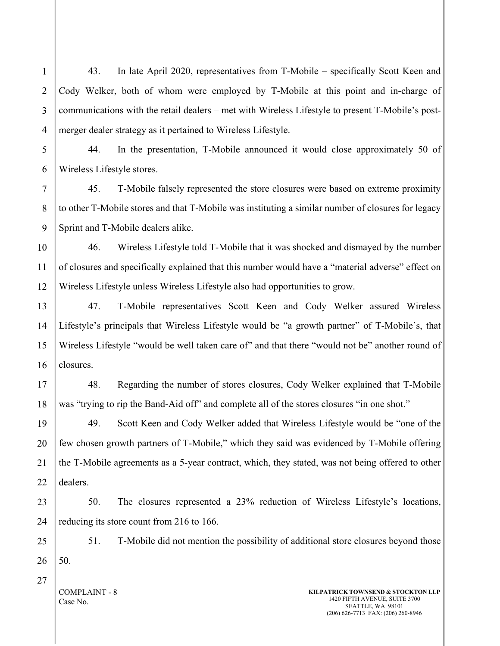1 43. In late April 2020, representatives from T-Mobile – specifically Scott Keen and Cody Welker, both of whom were employed by T-Mobile at this point and in-charge of communications with the retail dealers – met with Wireless Lifestyle to present T-Mobile's postmerger dealer strategy as it pertained to Wireless Lifestyle.

44. In the presentation, T-Mobile announced it would close approximately 50 of Wireless Lifestyle stores.

45. T-Mobile falsely represented the store closures were based on extreme proximity to other T-Mobile stores and that T-Mobile was instituting a similar number of closures for legacy Sprint and T-Mobile dealers alike.

46. Wireless Lifestyle told T-Mobile that it was shocked and dismayed by the number of closures and specifically explained that this number would have a "material adverse" effect on Wireless Lifestyle unless Wireless Lifestyle also had opportunities to grow.

47. T-Mobile representatives Scott Keen and Cody Welker assured Wireless Lifestyle's principals that Wireless Lifestyle would be "a growth partner" of T-Mobile's, that Wireless Lifestyle "would be well taken care of" and that there "would not be" another round of closures.

48. Regarding the number of stores closures, Cody Welker explained that T-Mobile was "trying to rip the Band-Aid off" and complete all of the stores closures "in one shot."

49. Scott Keen and Cody Welker added that Wireless Lifestyle would be "one of the few chosen growth partners of T-Mobile," which they said was evidenced by T-Mobile offering the T-Mobile agreements as a 5-year contract, which, they stated, was not being offered to other dealers.

50. The closures represented a 23% reduction of Wireless Lifestyle's locations, reducing its store count from 216 to 166.

51. T-Mobile did not mention the possibility of additional store closures beyond those 50.

COMPLAINT - 8 Case No.

27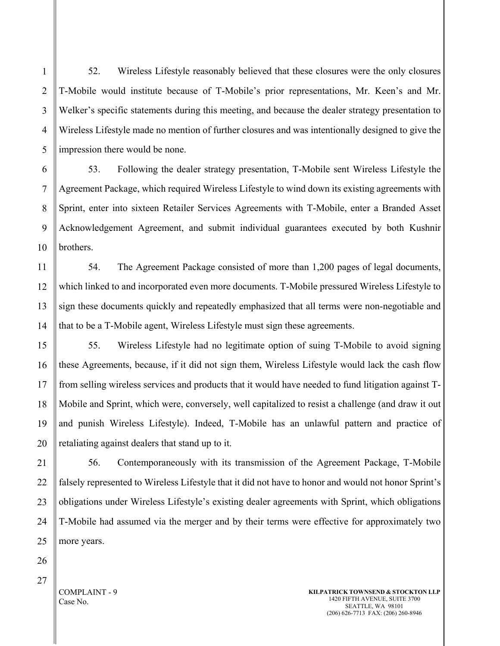52. Wireless Lifestyle reasonably believed that these closures were the only closures T-Mobile would institute because of T-Mobile's prior representations, Mr. Keen's and Mr. Welker's specific statements during this meeting, and because the dealer strategy presentation to Wireless Lifestyle made no mention of further closures and was intentionally designed to give the impression there would be none.

53. Following the dealer strategy presentation, T-Mobile sent Wireless Lifestyle the Agreement Package, which required Wireless Lifestyle to wind down its existing agreements with Sprint, enter into sixteen Retailer Services Agreements with T-Mobile, enter a Branded Asset Acknowledgement Agreement, and submit individual guarantees executed by both Kushnir brothers.

54. The Agreement Package consisted of more than 1,200 pages of legal documents, which linked to and incorporated even more documents. T-Mobile pressured Wireless Lifestyle to sign these documents quickly and repeatedly emphasized that all terms were non-negotiable and that to be a T-Mobile agent, Wireless Lifestyle must sign these agreements.

55. Wireless Lifestyle had no legitimate option of suing T-Mobile to avoid signing these Agreements, because, if it did not sign them, Wireless Lifestyle would lack the cash flow from selling wireless services and products that it would have needed to fund litigation against T-Mobile and Sprint, which were, conversely, well capitalized to resist a challenge (and draw it out and punish Wireless Lifestyle). Indeed, T-Mobile has an unlawful pattern and practice of retaliating against dealers that stand up to it.

56. Contemporaneously with its transmission of the Agreement Package, T-Mobile falsely represented to Wireless Lifestyle that it did not have to honor and would not honor Sprint's obligations under Wireless Lifestyle's existing dealer agreements with Sprint, which obligations T-Mobile had assumed via the merger and by their terms were effective for approximately two more years.

1

2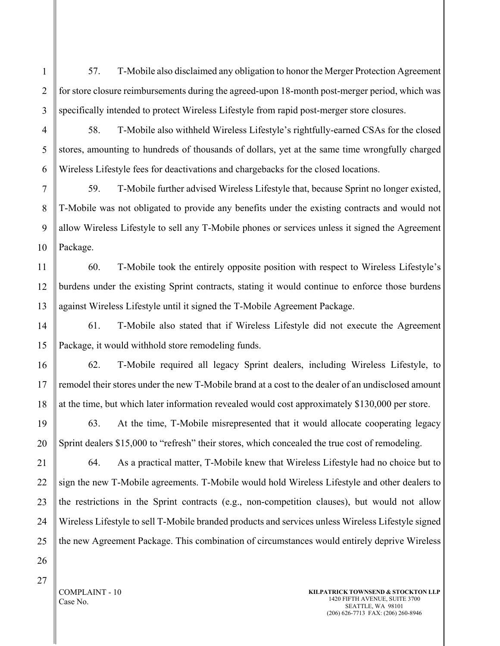57. T-Mobile also disclaimed any obligation to honor the Merger Protection Agreement for store closure reimbursements during the agreed-upon 18-month post-merger period, which was specifically intended to protect Wireless Lifestyle from rapid post-merger store closures.

58. T-Mobile also withheld Wireless Lifestyle's rightfully-earned CSAs for the closed stores, amounting to hundreds of thousands of dollars, yet at the same time wrongfully charged Wireless Lifestyle fees for deactivations and chargebacks for the closed locations.

7 59. T-Mobile further advised Wireless Lifestyle that, because Sprint no longer existed, T-Mobile was not obligated to provide any benefits under the existing contracts and would not allow Wireless Lifestyle to sell any T-Mobile phones or services unless it signed the Agreement Package.

60. T-Mobile took the entirely opposite position with respect to Wireless Lifestyle's burdens under the existing Sprint contracts, stating it would continue to enforce those burdens against Wireless Lifestyle until it signed the T-Mobile Agreement Package.

61. T-Mobile also stated that if Wireless Lifestyle did not execute the Agreement Package, it would withhold store remodeling funds.

62. T-Mobile required all legacy Sprint dealers, including Wireless Lifestyle, to remodel their stores under the new T-Mobile brand at a cost to the dealer of an undisclosed amount at the time, but which later information revealed would cost approximately \$130,000 per store.

63. At the time, T-Mobile misrepresented that it would allocate cooperating legacy Sprint dealers \$15,000 to "refresh" their stores, which concealed the true cost of remodeling.

64. As a practical matter, T-Mobile knew that Wireless Lifestyle had no choice but to sign the new T-Mobile agreements. T-Mobile would hold Wireless Lifestyle and other dealers to the restrictions in the Sprint contracts (e.g., non-competition clauses), but would not allow Wireless Lifestyle to sell T-Mobile branded products and services unless Wireless Lifestyle signed the new Agreement Package. This combination of circumstances would entirely deprive Wireless

27

COMPLAINT - 10 Case No.

1

2

3

4

5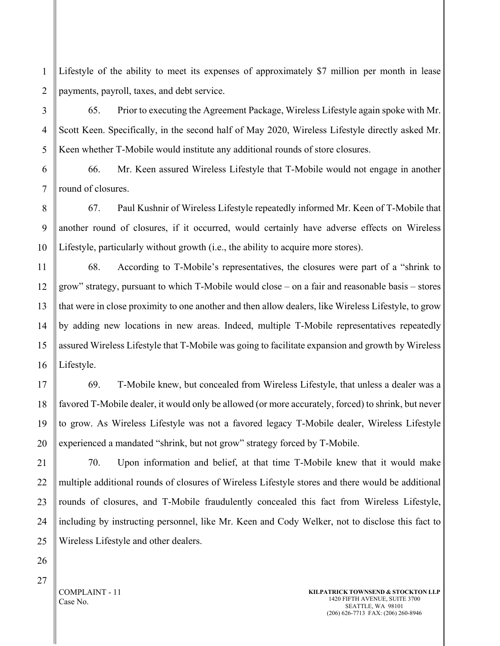1 2 Lifestyle of the ability to meet its expenses of approximately \$7 million per month in lease payments, payroll, taxes, and debt service.

65. Prior to executing the Agreement Package, Wireless Lifestyle again spoke with Mr. Scott Keen. Specifically, in the second half of May 2020, Wireless Lifestyle directly asked Mr. Keen whether T-Mobile would institute any additional rounds of store closures.

66. Mr. Keen assured Wireless Lifestyle that T-Mobile would not engage in another round of closures.

67. Paul Kushnir of Wireless Lifestyle repeatedly informed Mr. Keen of T-Mobile that another round of closures, if it occurred, would certainly have adverse effects on Wireless Lifestyle, particularly without growth (i.e., the ability to acquire more stores).

68. According to T-Mobile's representatives, the closures were part of a "shrink to grow" strategy, pursuant to which T-Mobile would close – on a fair and reasonable basis – stores that were in close proximity to one another and then allow dealers, like Wireless Lifestyle, to grow by adding new locations in new areas. Indeed, multiple T-Mobile representatives repeatedly assured Wireless Lifestyle that T-Mobile was going to facilitate expansion and growth by Wireless Lifestyle.

69. T-Mobile knew, but concealed from Wireless Lifestyle, that unless a dealer was a favored T-Mobile dealer, it would only be allowed (or more accurately, forced) to shrink, but never to grow. As Wireless Lifestyle was not a favored legacy T-Mobile dealer, Wireless Lifestyle experienced a mandated "shrink, but not grow" strategy forced by T-Mobile.

70. Upon information and belief, at that time T-Mobile knew that it would make multiple additional rounds of closures of Wireless Lifestyle stores and there would be additional rounds of closures, and T-Mobile fraudulently concealed this fact from Wireless Lifestyle, including by instructing personnel, like Mr. Keen and Cody Welker, not to disclose this fact to Wireless Lifestyle and other dealers.

COMPLAINT - 11 Case No.

3

4

5

6

7

8

9

10

11

12

13

14

15

16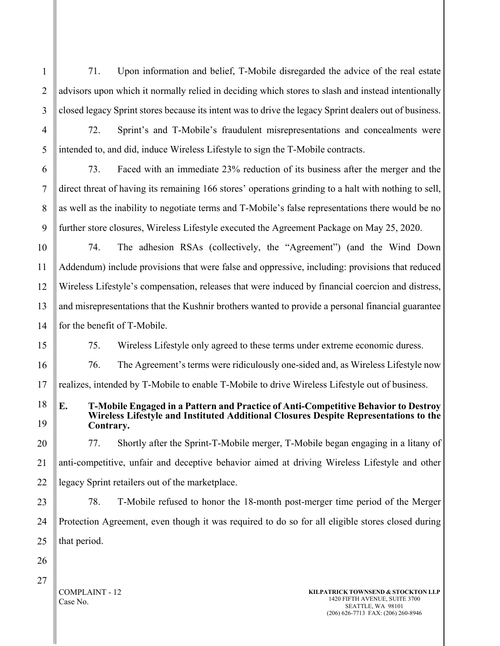71. Upon information and belief, T-Mobile disregarded the advice of the real estate advisors upon which it normally relied in deciding which stores to slash and instead intentionally closed legacy Sprint stores because its intent was to drive the legacy Sprint dealers out of business.

72. Sprint's and T-Mobile's fraudulent misrepresentations and concealments were intended to, and did, induce Wireless Lifestyle to sign the T-Mobile contracts.

73. Faced with an immediate 23% reduction of its business after the merger and the direct threat of having its remaining 166 stores' operations grinding to a halt with nothing to sell, as well as the inability to negotiate terms and T-Mobile's false representations there would be no further store closures, Wireless Lifestyle executed the Agreement Package on May 25, 2020.

10 11 12 13 14 74. The adhesion RSAs (collectively, the "Agreement") (and the Wind Down Addendum) include provisions that were false and oppressive, including: provisions that reduced Wireless Lifestyle's compensation, releases that were induced by financial coercion and distress, and misrepresentations that the Kushnir brothers wanted to provide a personal financial guarantee for the benefit of T-Mobile.

75. Wireless Lifestyle only agreed to these terms under extreme economic duress.

76. The Agreement's terms were ridiculously one-sided and, as Wireless Lifestyle now

17 realizes, intended by T-Mobile to enable T-Mobile to drive Wireless Lifestyle out of business.

**E. T-Mobile Engaged in a Pattern and Practice of Anti-Competitive Behavior to Destroy Wireless Lifestyle and Instituted Additional Closures Despite Representations to the Contrary.**

20 21 22 77. Shortly after the Sprint-T-Mobile merger, T-Mobile began engaging in a litany of anti-competitive, unfair and deceptive behavior aimed at driving Wireless Lifestyle and other legacy Sprint retailers out of the marketplace.

23 24 25 78. T-Mobile refused to honor the 18-month post-merger time period of the Merger Protection Agreement, even though it was required to do so for all eligible stores closed during that period.

26 27

1

2

3

4

5

6

7

8

9

15

16

18

19

COMPLAINT - 12 Case No.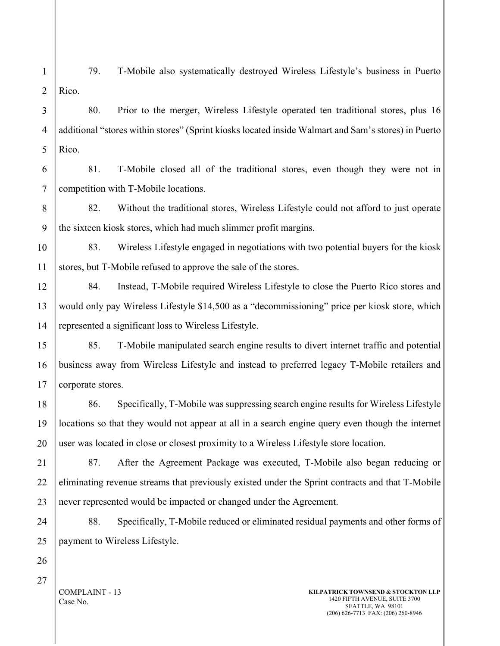1 2 79. T-Mobile also systematically destroyed Wireless Lifestyle's business in Puerto Rico.

80. Prior to the merger, Wireless Lifestyle operated ten traditional stores, plus 16 additional "stores within stores" (Sprint kiosks located inside Walmart and Sam's stores) in Puerto Rico.

6 7 81. T-Mobile closed all of the traditional stores, even though they were not in competition with T-Mobile locations.

8 82. Without the traditional stores, Wireless Lifestyle could not afford to just operate the sixteen kiosk stores, which had much slimmer profit margins.

10 83. Wireless Lifestyle engaged in negotiations with two potential buyers for the kiosk stores, but T-Mobile refused to approve the sale of the stores.

84. Instead, T-Mobile required Wireless Lifestyle to close the Puerto Rico stores and would only pay Wireless Lifestyle \$14,500 as a "decommissioning" price per kiosk store, which represented a significant loss to Wireless Lifestyle.

85. T-Mobile manipulated search engine results to divert internet traffic and potential business away from Wireless Lifestyle and instead to preferred legacy T-Mobile retailers and corporate stores.

86. Specifically, T-Mobile was suppressing search engine results for Wireless Lifestyle locations so that they would not appear at all in a search engine query even though the internet user was located in close or closest proximity to a Wireless Lifestyle store location.

87. After the Agreement Package was executed, T-Mobile also began reducing or eliminating revenue streams that previously existed under the Sprint contracts and that T-Mobile never represented would be impacted or changed under the Agreement.

88. Specifically, T-Mobile reduced or eliminated residual payments and other forms of payment to Wireless Lifestyle.

COMPLAINT - 13 Case No.

3

4

5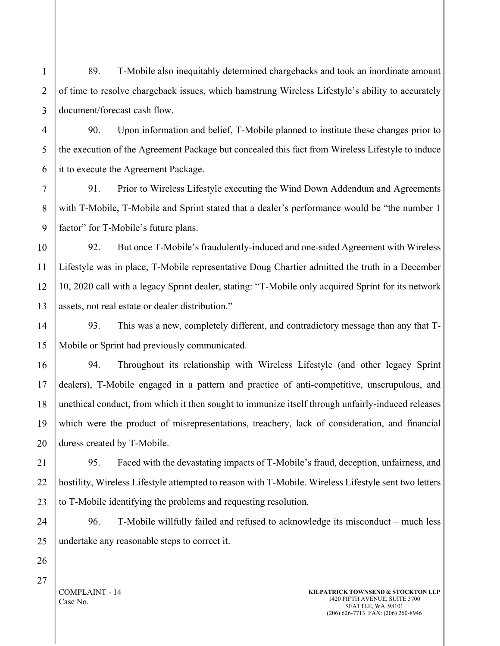1 2 3 89. T-Mobile also inequitably determined chargebacks and took an inordinate amount of time to resolve chargeback issues, which hamstrung Wireless Lifestyle's ability to accurately document/forecast cash flow.

90. Upon information and belief, T-Mobile planned to institute these changes prior to the execution of the Agreement Package but concealed this fact from Wireless Lifestyle to induce it to execute the Agreement Package.

91. Prior to Wireless Lifestyle executing the Wind Down Addendum and Agreements with T-Mobile, T-Mobile and Sprint stated that a dealer's performance would be "the number 1 factor" for T-Mobile's future plans.

92. But once T-Mobile's fraudulently-induced and one-sided Agreement with Wireless Lifestyle was in place, T-Mobile representative Doug Chartier admitted the truth in a December 10, 2020 call with a legacy Sprint dealer, stating: "T-Mobile only acquired Sprint for its network assets, not real estate or dealer distribution."

93. This was a new, completely different, and contradictory message than any that T-Mobile or Sprint had previously communicated.

94. Throughout its relationship with Wireless Lifestyle (and other legacy Sprint dealers), T-Mobile engaged in a pattern and practice of anti-competitive, unscrupulous, and unethical conduct, from which it then sought to immunize itself through unfairly-induced releases which were the product of misrepresentations, treachery, lack of consideration, and financial duress created by T-Mobile.

95. Faced with the devastating impacts of T-Mobile's fraud, deception, unfairness, and hostility, Wireless Lifestyle attempted to reason with T-Mobile. Wireless Lifestyle sent two letters to T-Mobile identifying the problems and requesting resolution.

96. T-Mobile willfully failed and refused to acknowledge its misconduct – much less undertake any reasonable steps to correct it.

4

5

6

7

8

9

10

11

12

13

14

15

16

COMPLAINT - 14 Case No.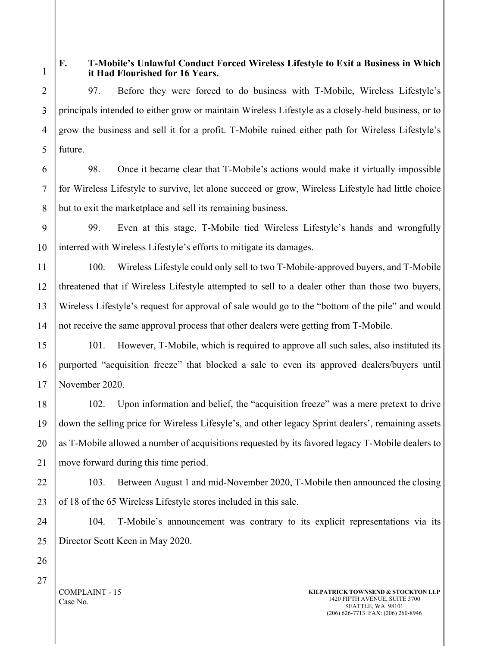5

6

7

8

# **F. T-Mobile's Unlawful Conduct Forced Wireless Lifestyle to Exit a Business in Which it Had Flourished for 16 Years.**

97. Before they were forced to do business with T-Mobile, Wireless Lifestyle's principals intended to either grow or maintain Wireless Lifestyle as a closely-held business, or to grow the business and sell it for a profit. T-Mobile ruined either path for Wireless Lifestyle's future.

98. Once it became clear that T-Mobile's actions would make it virtually impossible for Wireless Lifestyle to survive, let alone succeed or grow, Wireless Lifestyle had little choice but to exit the marketplace and sell its remaining business.

9 10 99. Even at this stage, T-Mobile tied Wireless Lifestyle's hands and wrongfully interred with Wireless Lifestyle's efforts to mitigate its damages.

11 12 13 14 100. Wireless Lifestyle could only sell to two T-Mobile-approved buyers, and T-Mobile threatened that if Wireless Lifestyle attempted to sell to a dealer other than those two buyers, Wireless Lifestyle's request for approval of sale would go to the "bottom of the pile" and would not receive the same approval process that other dealers were getting from T-Mobile.

15 16 17 101. However, T-Mobile, which is required to approve all such sales, also instituted its purported "acquisition freeze" that blocked a sale to even its approved dealers/buyers until November 2020.

18 19 20 21 102. Upon information and belief, the "acquisition freeze" was a mere pretext to drive down the selling price for Wireless Lifesyle's, and other legacy Sprint dealers', remaining assets as T-Mobile allowed a number of acquisitions requested by its favored legacy T-Mobile dealers to move forward during this time period.

22 23 103. Between August 1 and mid-November 2020, T-Mobile then announced the closing of 18 of the 65 Wireless Lifestyle stores included in this sale.

25 104. T-Mobile's announcement was contrary to its explicit representations via its Director Scott Keen in May 2020.

27

24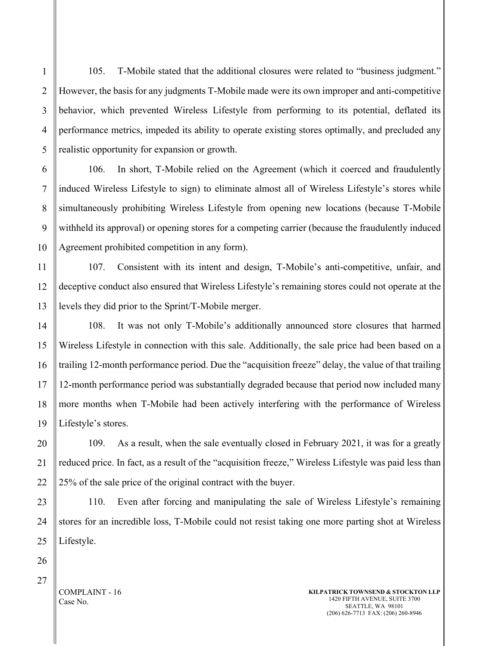105. T-Mobile stated that the additional closures were related to "business judgment." However, the basis for any judgments T-Mobile made were its own improper and anti-competitive behavior, which prevented Wireless Lifestyle from performing to its potential, deflated its performance metrics, impeded its ability to operate existing stores optimally, and precluded any realistic opportunity for expansion or growth.

106. In short, T-Mobile relied on the Agreement (which it coerced and fraudulently induced Wireless Lifestyle to sign) to eliminate almost all of Wireless Lifestyle's stores while simultaneously prohibiting Wireless Lifestyle from opening new locations (because T-Mobile withheld its approval) or opening stores for a competing carrier (because the fraudulently induced Agreement prohibited competition in any form).

107. Consistent with its intent and design, T-Mobile's anti-competitive, unfair, and deceptive conduct also ensured that Wireless Lifestyle's remaining stores could not operate at the levels they did prior to the Sprint/T-Mobile merger.

108. It was not only T-Mobile's additionally announced store closures that harmed Wireless Lifestyle in connection with this sale. Additionally, the sale price had been based on a trailing 12-month performance period. Due the "acquisition freeze" delay, the value of that trailing 12-month performance period was substantially degraded because that period now included many more months when T-Mobile had been actively interfering with the performance of Wireless Lifestyle's stores.

109. As a result, when the sale eventually closed in February 2021, it was for a greatly reduced price. In fact, as a result of the "acquisition freeze," Wireless Lifestyle was paid less than 25% of the sale price of the original contract with the buyer.

110. Even after forcing and manipulating the sale of Wireless Lifestyle's remaining stores for an incredible loss, T-Mobile could not resist taking one more parting shot at Wireless Lifestyle.

COMPLAINT - 16 Case No.

1

2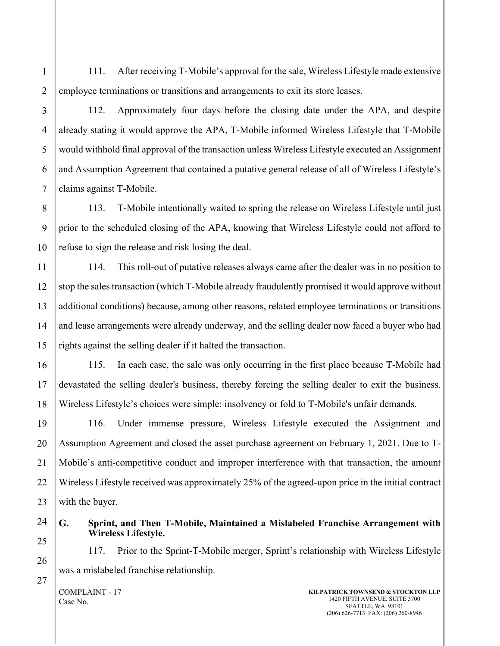111. After receiving T-Mobile's approval for the sale, Wireless Lifestyle made extensive employee terminations or transitions and arrangements to exit its store leases.

1

2

3

112. Approximately four days before the closing date under the APA, and despite already stating it would approve the APA, T-Mobile informed Wireless Lifestyle that T-Mobile would withhold final approval of the transaction unless Wireless Lifestyle executed an Assignment and Assumption Agreement that contained a putative general release of all of Wireless Lifestyle's claims against T-Mobile.

113. T-Mobile intentionally waited to spring the release on Wireless Lifestyle until just prior to the scheduled closing of the APA, knowing that Wireless Lifestyle could not afford to refuse to sign the release and risk losing the deal.

114. This roll-out of putative releases always came after the dealer was in no position to stop the sales transaction (which T-Mobile already fraudulently promised it would approve without additional conditions) because, among other reasons, related employee terminations or transitions and lease arrangements were already underway, and the selling dealer now faced a buyer who had rights against the selling dealer if it halted the transaction.

115. In each case, the sale was only occurring in the first place because T-Mobile had devastated the selling dealer's business, thereby forcing the selling dealer to exit the business. Wireless Lifestyle's choices were simple: insolvency or fold to T-Mobile's unfair demands.

116. Under immense pressure, Wireless Lifestyle executed the Assignment and Assumption Agreement and closed the asset purchase agreement on February 1, 2021. Due to T-Mobile's anti-competitive conduct and improper interference with that transaction, the amount Wireless Lifestyle received was approximately 25% of the agreed-upon price in the initial contract with the buyer.

25

**G. Sprint, and Then T-Mobile, Maintained a Mislabeled Franchise Arrangement with Wireless Lifestyle.**

117. Prior to the Sprint-T-Mobile merger, Sprint's relationship with Wireless Lifestyle was a mislabeled franchise relationship.

COMPLAINT - 17 Case No.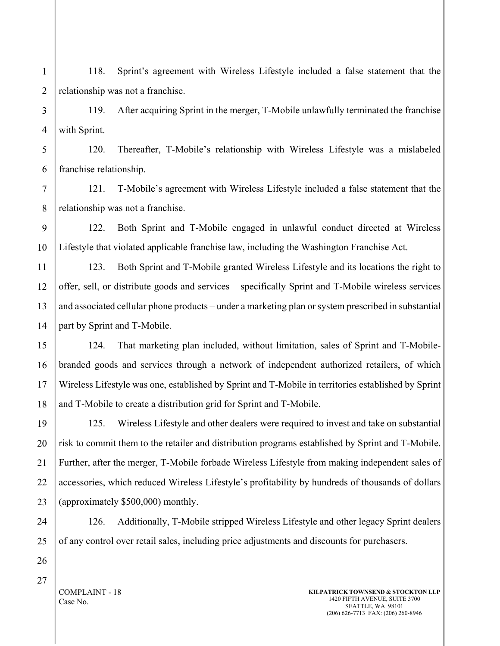1 2 118. Sprint's agreement with Wireless Lifestyle included a false statement that the relationship was not a franchise.

3 4 119. After acquiring Sprint in the merger, T-Mobile unlawfully terminated the franchise with Sprint.

5 6 120. Thereafter, T-Mobile's relationship with Wireless Lifestyle was a mislabeled franchise relationship.

121. T-Mobile's agreement with Wireless Lifestyle included a false statement that the relationship was not a franchise.

122. Both Sprint and T-Mobile engaged in unlawful conduct directed at Wireless Lifestyle that violated applicable franchise law, including the Washington Franchise Act.

123. Both Sprint and T-Mobile granted Wireless Lifestyle and its locations the right to offer, sell, or distribute goods and services – specifically Sprint and T-Mobile wireless services and associated cellular phone products – under a marketing plan or system prescribed in substantial part by Sprint and T-Mobile.

124. That marketing plan included, without limitation, sales of Sprint and T-Mobilebranded goods and services through a network of independent authorized retailers, of which Wireless Lifestyle was one, established by Sprint and T-Mobile in territories established by Sprint and T-Mobile to create a distribution grid for Sprint and T-Mobile.

125. Wireless Lifestyle and other dealers were required to invest and take on substantial risk to commit them to the retailer and distribution programs established by Sprint and T-Mobile. Further, after the merger, T-Mobile forbade Wireless Lifestyle from making independent sales of accessories, which reduced Wireless Lifestyle's profitability by hundreds of thousands of dollars (approximately \$500,000) monthly.

126. Additionally, T-Mobile stripped Wireless Lifestyle and other legacy Sprint dealers of any control over retail sales, including price adjustments and discounts for purchasers.

COMPLAINT - 18 Case No.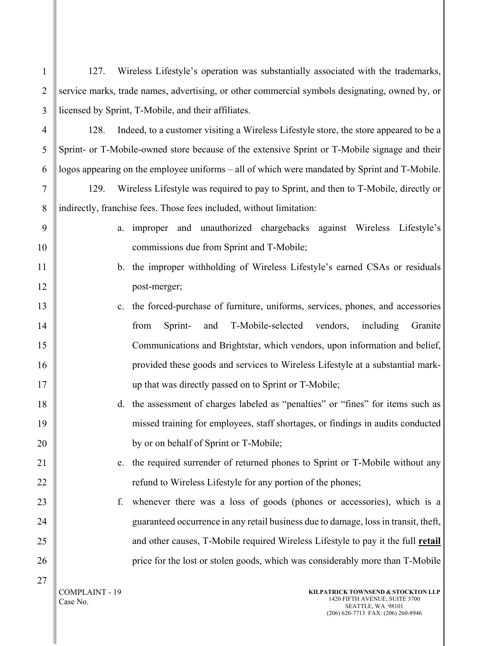| $\mathbf{1}$   | 127.                                                                                           | Wireless Lifestyle's operation was substantially associated with the trademarks,              |
|----------------|------------------------------------------------------------------------------------------------|-----------------------------------------------------------------------------------------------|
| $\overline{2}$ | service marks, trade names, advertising, or other commercial symbols designating, owned by, or |                                                                                               |
| 3              | licensed by Sprint, T-Mobile, and their affiliates.                                            |                                                                                               |
| $\overline{4}$ | 128.                                                                                           | Indeed, to a customer visiting a Wireless Lifestyle store, the store appeared to be a         |
| 5              | Sprint- or T-Mobile-owned store because of the extensive Sprint or T-Mobile signage and their  |                                                                                               |
| 6              |                                                                                                | logos appearing on the employee uniforms - all of which were mandated by Sprint and T-Mobile. |
| 7              | 129.                                                                                           | Wireless Lifestyle was required to pay to Sprint, and then to T-Mobile, directly or           |
| 8              |                                                                                                | indirectly, franchise fees. Those fees included, without limitation:                          |
| 9              | a.                                                                                             | improper and unauthorized chargebacks against Wireless Lifestyle's                            |
| 10             |                                                                                                | commissions due from Sprint and T-Mobile;                                                     |
| 11             |                                                                                                | b. the improper withholding of Wireless Lifestyle's earned CSAs or residuals                  |
| 12             |                                                                                                | post-merger;                                                                                  |
| 13             | c.                                                                                             | the forced-purchase of furniture, uniforms, services, phones, and accessories                 |
| 14             |                                                                                                | Sprint-<br>T-Mobile-selected vendors,<br>from<br>and<br>including<br>Granite                  |
| 15             |                                                                                                | Communications and Brightstar, which vendors, upon information and belief,                    |
| 16             |                                                                                                | provided these goods and services to Wireless Lifestyle at a substantial mark-                |
| 17             |                                                                                                | up that was directly passed on to Sprint or T-Mobile;                                         |
| 18             | d.                                                                                             | the assessment of charges labeled as "penalties" or "fines" for items such as                 |
| 19             |                                                                                                | missed training for employees, staff shortages, or findings in audits conducted               |
| 20             |                                                                                                | by or on behalf of Sprint or T-Mobile;                                                        |
| 21             | e.                                                                                             | the required surrender of returned phones to Sprint or T-Mobile without any                   |
| 22             |                                                                                                | refund to Wireless Lifestyle for any portion of the phones;                                   |
| 23             | f.                                                                                             | whenever there was a loss of goods (phones or accessories), which is a                        |
| 24             |                                                                                                | guaranteed occurrence in any retail business due to damage, loss in transit, theft,           |
| 25             |                                                                                                | and other causes, T-Mobile required Wireless Lifestyle to pay it the full retail              |
| 26             |                                                                                                | price for the lost or stolen goods, which was considerably more than T-Mobile                 |
| 27             | COMPLAINT - 19<br>Case No.                                                                     | KILPATRICK TOWNSEND & STOCKTON LLP<br>1420 FIFTH AVENUE, SUITE 3700<br>SEATTLE, WA 98101      |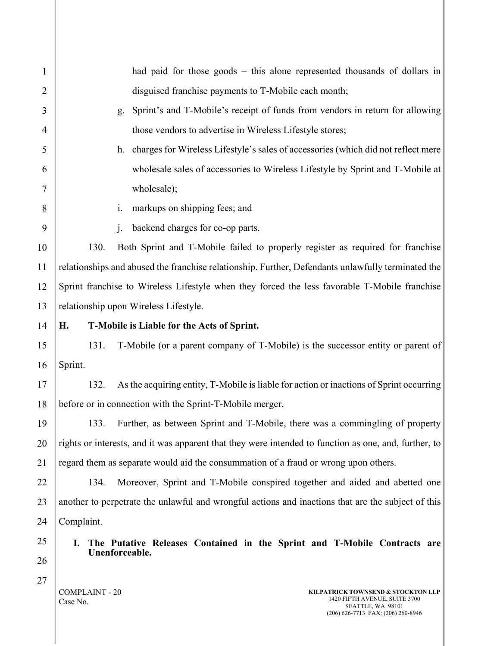| $\mathbf{1}$   | had paid for those goods $-$ this alone represented thousands of dollars in                           |
|----------------|-------------------------------------------------------------------------------------------------------|
| $\overline{2}$ | disguised franchise payments to T-Mobile each month;                                                  |
| 3              | Sprint's and T-Mobile's receipt of funds from vendors in return for allowing<br>g.                    |
| 4              | those vendors to advertise in Wireless Lifestyle stores;                                              |
| 5              | h. charges for Wireless Lifestyle's sales of accessories (which did not reflect mere                  |
| 6              | wholesale sales of accessories to Wireless Lifestyle by Sprint and T-Mobile at                        |
| 7              | wholesale);                                                                                           |
| 8              | markups on shipping fees; and<br>$\mathbf{i}$ .                                                       |
| 9              | backend charges for co-op parts.<br>$\mathbf{i}$ .                                                    |
| 10             | 130.<br>Both Sprint and T-Mobile failed to properly register as required for franchise                |
| 11             | relationships and abused the franchise relationship. Further, Defendants unlawfully terminated the    |
| 12             | Sprint franchise to Wireless Lifestyle when they forced the less favorable T-Mobile franchise         |
| 13             | relationship upon Wireless Lifestyle.                                                                 |
| 14             | Н.<br>T-Mobile is Liable for the Acts of Sprint.                                                      |
| 15             | 131.<br>T-Mobile (or a parent company of T-Mobile) is the successor entity or parent of               |
| 16             | Sprint.                                                                                               |
| 17             | 132.<br>As the acquiring entity, T-Mobile is liable for action or inactions of Sprint occurring       |
| 18             | before or in connection with the Sprint-T-Mobile merger.                                              |
| 19             | Further, as between Sprint and T-Mobile, there was a commingling of property<br>133.                  |
| 20             | rights or interests, and it was apparent that they were intended to function as one, and, further, to |
| 21             | regard them as separate would aid the consummation of a fraud or wrong upon others.                   |
| 22             | Moreover, Sprint and T-Mobile conspired together and aided and abetted one<br>134.                    |
| 23             | another to perpetrate the unlawful and wrongful actions and inactions that are the subject of this    |
| 24             | Complaint.                                                                                            |
| 25             | The Putative Releases Contained in the Sprint and T-Mobile Contracts are<br>I.                        |
| 26             | Unenforceable.                                                                                        |
| 27             |                                                                                                       |

 $\parallel$  COMPLAINT - 20 Case No.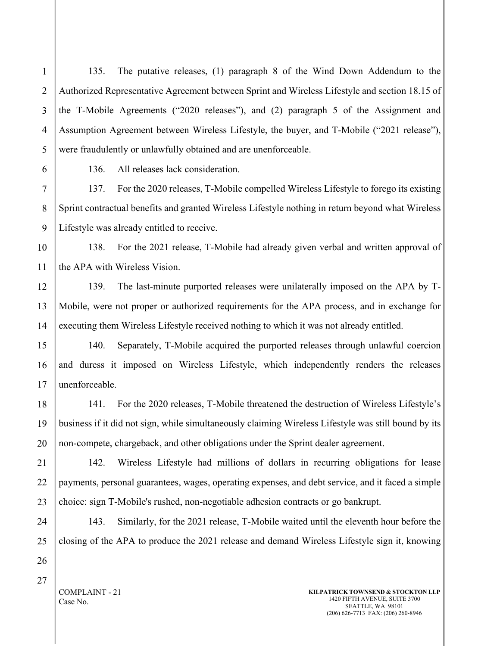135. The putative releases, (1) paragraph 8 of the Wind Down Addendum to the Authorized Representative Agreement between Sprint and Wireless Lifestyle and section 18.15 of the T-Mobile Agreements ("2020 releases"), and (2) paragraph 5 of the Assignment and Assumption Agreement between Wireless Lifestyle, the buyer, and T-Mobile ("2021 release"), were fraudulently or unlawfully obtained and are unenforceable.

136. All releases lack consideration.

137. For the 2020 releases, T-Mobile compelled Wireless Lifestyle to forego its existing Sprint contractual benefits and granted Wireless Lifestyle nothing in return beyond what Wireless Lifestyle was already entitled to receive.

10 11 138. For the 2021 release, T-Mobile had already given verbal and written approval of the APA with Wireless Vision.

139. The last-minute purported releases were unilaterally imposed on the APA by T-Mobile, were not proper or authorized requirements for the APA process, and in exchange for executing them Wireless Lifestyle received nothing to which it was not already entitled.

15 16 140. Separately, T-Mobile acquired the purported releases through unlawful coercion and duress it imposed on Wireless Lifestyle, which independently renders the releases unenforceable.

141. For the 2020 releases, T-Mobile threatened the destruction of Wireless Lifestyle's business if it did not sign, while simultaneously claiming Wireless Lifestyle was still bound by its non-compete, chargeback, and other obligations under the Sprint dealer agreement.

142. Wireless Lifestyle had millions of dollars in recurring obligations for lease payments, personal guarantees, wages, operating expenses, and debt service, and it faced a simple choice: sign T-Mobile's rushed, non-negotiable adhesion contracts or go bankrupt.

143. Similarly, for the 2021 release, T-Mobile waited until the eleventh hour before the closing of the APA to produce the 2021 release and demand Wireless Lifestyle sign it, knowing

27

1

2

3

4

5

6

7

8

9

12

13

14

17

18

19

20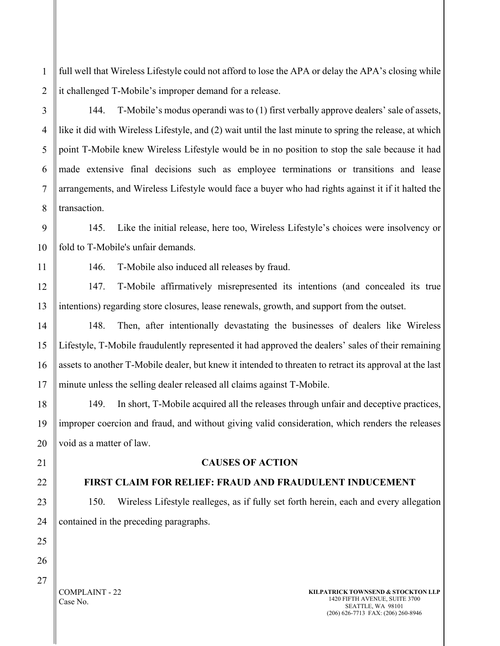1 2 full well that Wireless Lifestyle could not afford to lose the APA or delay the APA's closing while it challenged T-Mobile's improper demand for a release.

144. T-Mobile's modus operandi was to (1) first verbally approve dealers' sale of assets, like it did with Wireless Lifestyle, and (2) wait until the last minute to spring the release, at which point T-Mobile knew Wireless Lifestyle would be in no position to stop the sale because it had made extensive final decisions such as employee terminations or transitions and lease arrangements, and Wireless Lifestyle would face a buyer who had rights against it if it halted the transaction.

9 10 145. Like the initial release, here too, Wireless Lifestyle's choices were insolvency or fold to T-Mobile's unfair demands.

146. T-Mobile also induced all releases by fraud.

147. T-Mobile affirmatively misrepresented its intentions (and concealed its true intentions) regarding store closures, lease renewals, growth, and support from the outset.

148. Then, after intentionally devastating the businesses of dealers like Wireless Lifestyle, T-Mobile fraudulently represented it had approved the dealers' sales of their remaining assets to another T-Mobile dealer, but knew it intended to threaten to retract its approval at the last minute unless the selling dealer released all claims against T-Mobile.

149. In short, T-Mobile acquired all the releases through unfair and deceptive practices, improper coercion and fraud, and without giving valid consideration, which renders the releases void as a matter of law.

21

3

4

5

6

7

8

11

12

13

14

15

16

17

18

19

20

22

23

24

25

26

### **CAUSES OF ACTION**

### **FIRST CLAIM FOR RELIEF: FRAUD AND FRAUDULENT INDUCEMENT**

150. Wireless Lifestyle realleges, as if fully set forth herein, each and every allegation contained in the preceding paragraphs.

27

COMPLAINT - 22 Case No.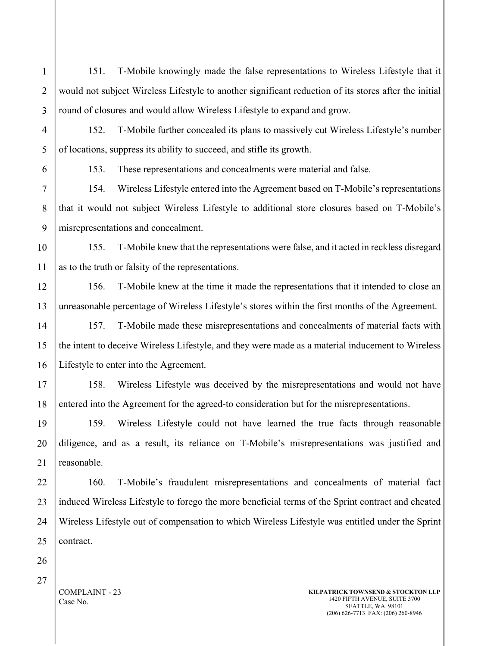151. T-Mobile knowingly made the false representations to Wireless Lifestyle that it would not subject Wireless Lifestyle to another significant reduction of its stores after the initial round of closures and would allow Wireless Lifestyle to expand and grow.

152. T-Mobile further concealed its plans to massively cut Wireless Lifestyle's number of locations, suppress its ability to succeed, and stifle its growth.

1

2

3

153. These representations and concealments were material and false.

154. Wireless Lifestyle entered into the Agreement based on T-Mobile's representations that it would not subject Wireless Lifestyle to additional store closures based on T-Mobile's misrepresentations and concealment.

155. T-Mobile knew that the representations were false, and it acted in reckless disregard as to the truth or falsity of the representations.

156. T-Mobile knew at the time it made the representations that it intended to close an unreasonable percentage of Wireless Lifestyle's stores within the first months of the Agreement.

157. T-Mobile made these misrepresentations and concealments of material facts with the intent to deceive Wireless Lifestyle, and they were made as a material inducement to Wireless Lifestyle to enter into the Agreement.

158. Wireless Lifestyle was deceived by the misrepresentations and would not have entered into the Agreement for the agreed-to consideration but for the misrepresentations.

159. Wireless Lifestyle could not have learned the true facts through reasonable diligence, and as a result, its reliance on T-Mobile's misrepresentations was justified and reasonable.

160. T-Mobile's fraudulent misrepresentations and concealments of material fact induced Wireless Lifestyle to forego the more beneficial terms of the Sprint contract and cheated Wireless Lifestyle out of compensation to which Wireless Lifestyle was entitled under the Sprint contract.

COMPLAINT - 23 Case No.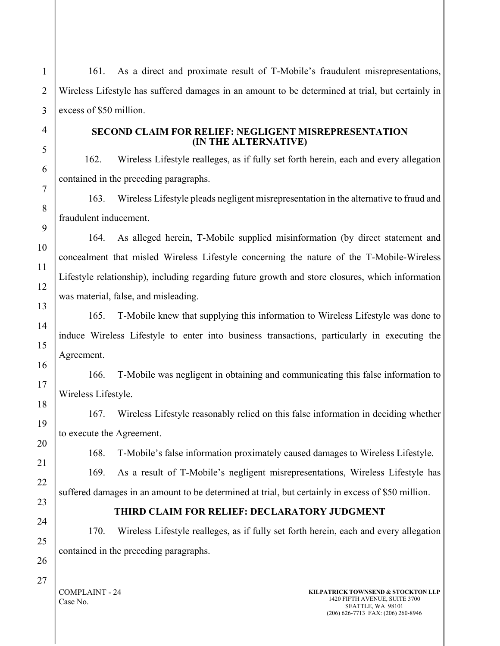161. As a direct and proximate result of T-Mobile's fraudulent misrepresentations, Wireless Lifestyle has suffered damages in an amount to be determined at trial, but certainly in excess of \$50 million.

### **SECOND CLAIM FOR RELIEF: NEGLIGENT MISREPRESENTATION (IN THE ALTERNATIVE)**

162. Wireless Lifestyle realleges, as if fully set forth herein, each and every allegation contained in the preceding paragraphs.

163. Wireless Lifestyle pleads negligent misrepresentation in the alternative to fraud and fraudulent inducement.

164. As alleged herein, T-Mobile supplied misinformation (by direct statement and concealment that misled Wireless Lifestyle concerning the nature of the T-Mobile-Wireless Lifestyle relationship), including regarding future growth and store closures, which information was material, false, and misleading.

165. T-Mobile knew that supplying this information to Wireless Lifestyle was done to induce Wireless Lifestyle to enter into business transactions, particularly in executing the Agreement.

166. T-Mobile was negligent in obtaining and communicating this false information to Wireless Lifestyle.

167. Wireless Lifestyle reasonably relied on this false information in deciding whether to execute the Agreement.

168. T-Mobile's false information proximately caused damages to Wireless Lifestyle.

169. As a result of T-Mobile's negligent misrepresentations, Wireless Lifestyle has suffered damages in an amount to be determined at trial, but certainly in excess of \$50 million.

# **THIRD CLAIM FOR RELIEF: DECLARATORY JUDGMENT**

170. Wireless Lifestyle realleges, as if fully set forth herein, each and every allegation contained in the preceding paragraphs.

COMPLAINT - 24 Case No.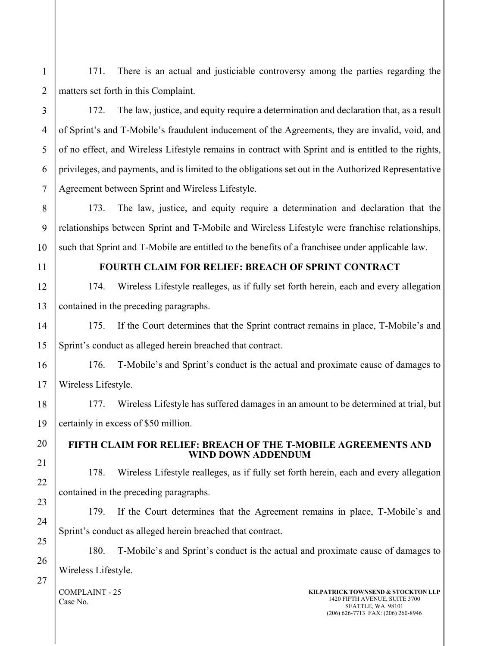171. There is an actual and justiciable controversy among the parties regarding the matters set forth in this Complaint.

172. The law, justice, and equity require a determination and declaration that, as a result of Sprint's and T-Mobile's fraudulent inducement of the Agreements, they are invalid, void, and of no effect, and Wireless Lifestyle remains in contract with Sprint and is entitled to the rights, privileges, and payments, and is limited to the obligations set out in the Authorized Representative Agreement between Sprint and Wireless Lifestyle.

173. The law, justice, and equity require a determination and declaration that the relationships between Sprint and T-Mobile and Wireless Lifestyle were franchise relationships, such that Sprint and T-Mobile are entitled to the benefits of a franchisee under applicable law.

1

2

3

4

5

6

### **FOURTH CLAIM FOR RELIEF: BREACH OF SPRINT CONTRACT**

174. Wireless Lifestyle realleges, as if fully set forth herein, each and every allegation contained in the preceding paragraphs.

175. If the Court determines that the Sprint contract remains in place, T-Mobile's and Sprint's conduct as alleged herein breached that contract.

176. T-Mobile's and Sprint's conduct is the actual and proximate cause of damages to Wireless Lifestyle.

177. Wireless Lifestyle has suffered damages in an amount to be determined at trial, but certainly in excess of \$50 million.

### **FIFTH CLAIM FOR RELIEF: BREACH OF THE T-MOBILE AGREEMENTS AND WIND DOWN ADDENDUM**

178. Wireless Lifestyle realleges, as if fully set forth herein, each and every allegation contained in the preceding paragraphs.

179. If the Court determines that the Agreement remains in place, T-Mobile's and Sprint's conduct as alleged herein breached that contract.

180. T-Mobile's and Sprint's conduct is the actual and proximate cause of damages to Wireless Lifestyle.

COMPLAINT - 25 Case No.

### **KILPATRICK TOWNSEND & STOCKTON LLP** 1420 FIFTH AVENUE, SUITE 3700 SEATTLE, WA 98101 (206) 626-7713 FAX: (206) 260-8946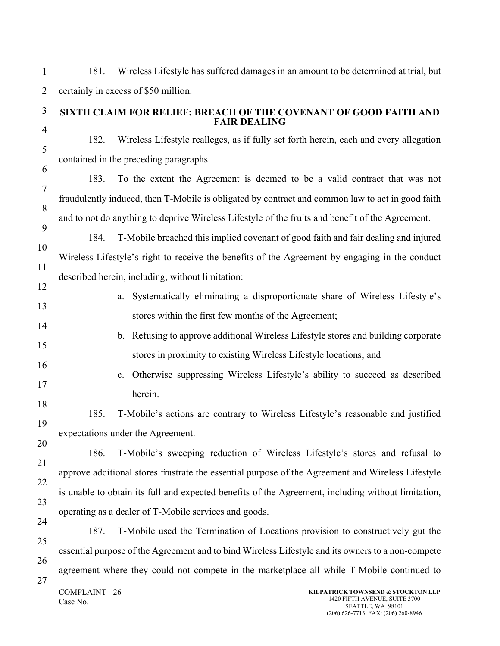181. Wireless Lifestyle has suffered damages in an amount to be determined at trial, but certainly in excess of \$50 million. **SIXTH CLAIM FOR RELIEF: BREACH OF THE COVENANT OF GOOD FAITH AND FAIR DEALING** 182. Wireless Lifestyle realleges, as if fully set forth herein, each and every allegation contained in the preceding paragraphs. 183. To the extent the Agreement is deemed to be a valid contract that was not fraudulently induced, then T-Mobile is obligated by contract and common law to act in good faith and to not do anything to deprive Wireless Lifestyle of the fruits and benefit of the Agreement. 184. T-Mobile breached this implied covenant of good faith and fair dealing and injured Wireless Lifestyle's right to receive the benefits of the Agreement by engaging in the conduct described herein, including, without limitation: a. Systematically eliminating a disproportionate share of Wireless Lifestyle's stores within the first few months of the Agreement; b. Refusing to approve additional Wireless Lifestyle stores and building corporate stores in proximity to existing Wireless Lifestyle locations; and c. Otherwise suppressing Wireless Lifestyle's ability to succeed as described herein. 185. T-Mobile's actions are contrary to Wireless Lifestyle's reasonable and justified expectations under the Agreement. 186. T-Mobile's sweeping reduction of Wireless Lifestyle's stores and refusal to approve additional stores frustrate the essential purpose of the Agreement and Wireless Lifestyle is unable to obtain its full and expected benefits of the Agreement, including without limitation, operating as a dealer of T-Mobile services and goods. 187. T-Mobile used the Termination of Locations provision to constructively gut the essential purpose of the Agreement and to bind Wireless Lifestyle and its owners to a non-compete agreement where they could not compete in the marketplace all while T-Mobile continued to

COMPLAINT - 26 Case No.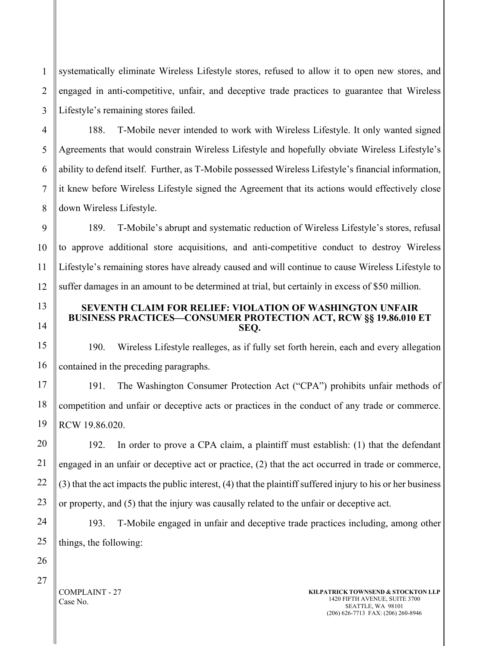1 2 3 systematically eliminate Wireless Lifestyle stores, refused to allow it to open new stores, and engaged in anti-competitive, unfair, and deceptive trade practices to guarantee that Wireless Lifestyle's remaining stores failed.

188. T-Mobile never intended to work with Wireless Lifestyle. It only wanted signed Agreements that would constrain Wireless Lifestyle and hopefully obviate Wireless Lifestyle's ability to defend itself. Further, as T-Mobile possessed Wireless Lifestyle's financial information, it knew before Wireless Lifestyle signed the Agreement that its actions would effectively close down Wireless Lifestyle.

9 10 189. T-Mobile's abrupt and systematic reduction of Wireless Lifestyle's stores, refusal to approve additional store acquisitions, and anti-competitive conduct to destroy Wireless Lifestyle's remaining stores have already caused and will continue to cause Wireless Lifestyle to suffer damages in an amount to be determined at trial, but certainly in excess of \$50 million.

### **SEVENTH CLAIM FOR RELIEF: VIOLATION OF WASHINGTON UNFAIR BUSINESS PRACTICES—CONSUMER PROTECTION ACT, RCW §§ 19.86.010 ET SEQ.**

190. Wireless Lifestyle realleges, as if fully set forth herein, each and every allegation contained in the preceding paragraphs.

191. The Washington Consumer Protection Act ("CPA") prohibits unfair methods of competition and unfair or deceptive acts or practices in the conduct of any trade or commerce. RCW 19.86.020.

192. In order to prove a CPA claim, a plaintiff must establish: (1) that the defendant engaged in an unfair or deceptive act or practice, (2) that the act occurred in trade or commerce, (3) that the act impacts the public interest, (4) that the plaintiff suffered injury to his or her business or property, and (5) that the injury was causally related to the unfair or deceptive act.

193. T-Mobile engaged in unfair and deceptive trade practices including, among other things, the following:

27

COMPLAINT - 27 Case No.

4

5

6

7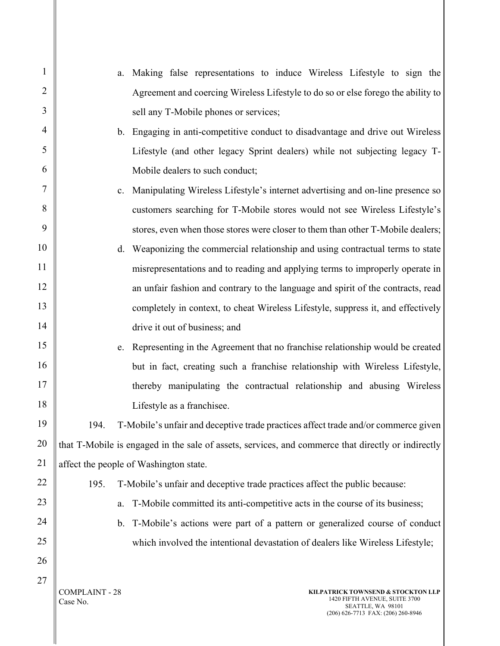| $\mathbf{1}$   | Making false representations to induce Wireless Lifestyle to sign the<br>a.                                                                                         |
|----------------|---------------------------------------------------------------------------------------------------------------------------------------------------------------------|
| $\overline{2}$ | Agreement and coercing Wireless Lifestyle to do so or else forego the ability to                                                                                    |
| 3              | sell any T-Mobile phones or services;                                                                                                                               |
| $\overline{4}$ | b. Engaging in anti-competitive conduct to disadvantage and drive out Wireless                                                                                      |
| 5              | Lifestyle (and other legacy Sprint dealers) while not subjecting legacy T-                                                                                          |
| 6              | Mobile dealers to such conduct;                                                                                                                                     |
| 7              | Manipulating Wireless Lifestyle's internet advertising and on-line presence so<br>c.                                                                                |
| 8              | customers searching for T-Mobile stores would not see Wireless Lifestyle's                                                                                          |
| 9              | stores, even when those stores were closer to them than other T-Mobile dealers;                                                                                     |
| 10             | Weaponizing the commercial relationship and using contractual terms to state<br>d.                                                                                  |
| 11             | misrepresentations and to reading and applying terms to improperly operate in                                                                                       |
| 12             | an unfair fashion and contrary to the language and spirit of the contracts, read                                                                                    |
| 13             | completely in context, to cheat Wireless Lifestyle, suppress it, and effectively                                                                                    |
| 14             | drive it out of business; and                                                                                                                                       |
| 15             | Representing in the Agreement that no franchise relationship would be created<br>e.                                                                                 |
| 16             | but in fact, creating such a franchise relationship with Wireless Lifestyle,                                                                                        |
| 17             | thereby manipulating the contractual relationship and abusing Wireless                                                                                              |
| 18             | Lifestyle as a franchisee.                                                                                                                                          |
| 19             | T-Mobile's unfair and deceptive trade practices affect trade and/or commerce given<br>194.                                                                          |
| 20             | that T-Mobile is engaged in the sale of assets, services, and commerce that directly or indirectly                                                                  |
| 21             | affect the people of Washington state.                                                                                                                              |
| 22             | 195.<br>T-Mobile's unfair and deceptive trade practices affect the public because:                                                                                  |
| 23             | T-Mobile committed its anti-competitive acts in the course of its business;<br>a.                                                                                   |
| 24             | T-Mobile's actions were part of a pattern or generalized course of conduct<br>b.                                                                                    |
| 25             | which involved the intentional devastation of dealers like Wireless Lifestyle;                                                                                      |
| 26             |                                                                                                                                                                     |
| 27             | <b>COMPLAINT - 28</b><br>KILPATRICK TOWNSEND & STOCKTON LLP<br>1420 FIFTH AVENUE, SUITE 3700<br>Case No.<br>SEATTLE, WA 98101<br>(206) 626-7713 FAX: (206) 260-8946 |

I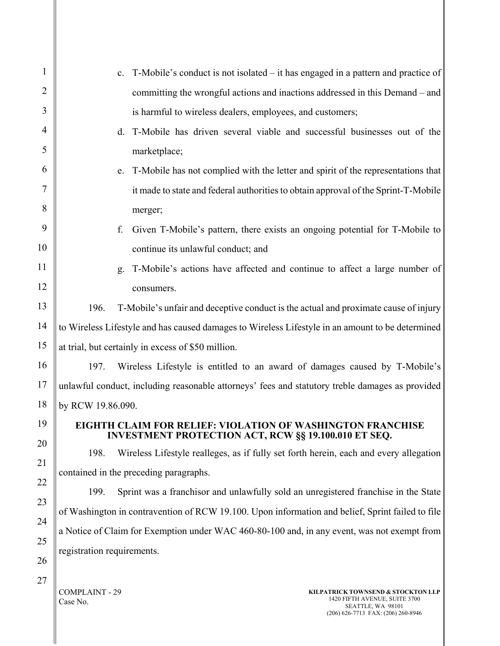| $\mathbf{1}$   |                            | T-Mobile's conduct is not isolated – it has engaged in a pattern and practice of<br>c.                                           |
|----------------|----------------------------|----------------------------------------------------------------------------------------------------------------------------------|
| $\overline{2}$ |                            | committing the wrongful actions and inactions addressed in this Demand – and                                                     |
| 3              |                            | is harmful to wireless dealers, employees, and customers;                                                                        |
| $\overline{4}$ |                            | T-Mobile has driven several viable and successful businesses out of the<br>d.                                                    |
| 5              |                            | marketplace;                                                                                                                     |
| 6              |                            | T-Mobile has not complied with the letter and spirit of the representations that<br>e.                                           |
| 7              |                            | it made to state and federal authorities to obtain approval of the Sprint-T-Mobile                                               |
| 8              |                            | merger;                                                                                                                          |
| 9              |                            | Given T-Mobile's pattern, there exists an ongoing potential for T-Mobile to<br>f.                                                |
| 10             |                            | continue its unlawful conduct; and                                                                                               |
| 11             |                            | T-Mobile's actions have affected and continue to affect a large number of<br>g.                                                  |
| 12             |                            | consumers.                                                                                                                       |
| 13             | 196.                       | T-Mobile's unfair and deceptive conduct is the actual and proximate cause of injury                                              |
| 14             |                            | to Wireless Lifestyle and has caused damages to Wireless Lifestyle in an amount to be determined                                 |
| 15             |                            | at trial, but certainly in excess of \$50 million.                                                                               |
| 16             | 197.                       | Wireless Lifestyle is entitled to an award of damages caused by T-Mobile's                                                       |
| 17             |                            | unlawful conduct, including reasonable attorneys' fees and statutory treble damages as provided                                  |
| 18             | by RCW 19.86.090.          |                                                                                                                                  |
| 19             |                            | <b>EIGHTH CLAIM FOR RELIEF: VIOLATION OF WASHINGTON FRANCHISE</b><br><b>INVESTMENT PROTECTION ACT, RCW §§ 19.100.010 ET SEQ.</b> |
| 20             | 198.                       | Wireless Lifestyle realleges, as if fully set forth herein, each and every allegation                                            |
| 21             |                            | contained in the preceding paragraphs.                                                                                           |
| 22             | 199.                       | Sprint was a franchisor and unlawfully sold an unregistered franchise in the State                                               |
| 23             |                            | of Washington in contravention of RCW 19.100. Upon information and belief, Sprint failed to file                                 |
| 24             |                            | a Notice of Claim for Exemption under WAC 460-80-100 and, in any event, was not exempt from                                      |
| 25             | registration requirements. |                                                                                                                                  |
| 26             |                            |                                                                                                                                  |
| 27             |                            |                                                                                                                                  |

 $\parallel$  COMPLAINT - 29 Case No.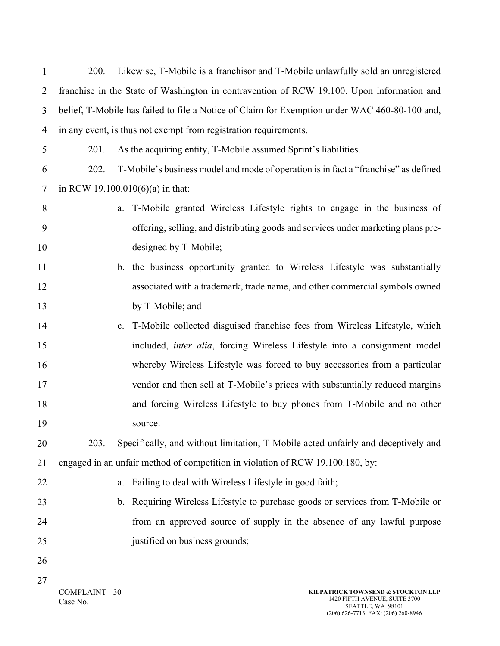| Likewise, T-Mobile is a franchisor and T-Mobile unlawfully sold an unregistered<br>$\mathbf{1}$<br>200.<br>franchise in the State of Washington in contravention of RCW 19.100. Upon information and<br>$\overline{2}$<br>3<br>belief, T-Mobile has failed to file a Notice of Claim for Exemption under WAC 460-80-100 and,<br>in any event, is thus not exempt from registration requirements.<br>4<br>As the acquiring entity, T-Mobile assumed Sprint's liabilities.<br>5<br>201.<br>T-Mobile's business model and mode of operation is in fact a "franchise" as defined<br>202.<br>6<br>$\overline{7}$<br>in RCW 19.100.010(6)(a) in that:<br>8<br>T-Mobile granted Wireless Lifestyle rights to engage in the business of<br>a.<br>offering, selling, and distributing goods and services under marketing plans pre-<br>9<br>designed by T-Mobile;<br>10<br>b. the business opportunity granted to Wireless Lifestyle was substantially<br>11<br>associated with a trademark, trade name, and other commercial symbols owned<br>12<br>by T-Mobile; and<br>13<br>T-Mobile collected disguised franchise fees from Wireless Lifestyle, which<br>14<br>c.<br>15<br>included, <i>inter alia</i> , forcing Wireless Lifestyle into a consignment model<br>whereby Wireless Lifestyle was forced to buy accessories from a particular<br>16<br>17<br>vendor and then sell at T-Mobile's prices with substantially reduced margins<br>18<br>and forcing Wireless Lifestyle to buy phones from T-Mobile and no other<br>19<br>source.<br>Specifically, and without limitation, T-Mobile acted unfairly and deceptively and<br>20<br>203.<br>engaged in an unfair method of competition in violation of RCW 19.100.180, by:<br>21<br>Failing to deal with Wireless Lifestyle in good faith;<br>22<br>a.<br>b. Requiring Wireless Lifestyle to purchase goods or services from T-Mobile or<br>23<br>from an approved source of supply in the absence of any lawful purpose<br>24<br>justified on business grounds;<br>25<br>26<br>27<br><b>COMPLAINT - 30</b><br>KILPATRICK TOWNSEND & STOCKTON LLP<br>1420 FIFTH AVENUE, SUITE 3700<br>Case No.<br>SEATTLE, WA 98101<br>(206) 626-7713 FAX: (206) 260-8946 |  |  |  |
|---------------------------------------------------------------------------------------------------------------------------------------------------------------------------------------------------------------------------------------------------------------------------------------------------------------------------------------------------------------------------------------------------------------------------------------------------------------------------------------------------------------------------------------------------------------------------------------------------------------------------------------------------------------------------------------------------------------------------------------------------------------------------------------------------------------------------------------------------------------------------------------------------------------------------------------------------------------------------------------------------------------------------------------------------------------------------------------------------------------------------------------------------------------------------------------------------------------------------------------------------------------------------------------------------------------------------------------------------------------------------------------------------------------------------------------------------------------------------------------------------------------------------------------------------------------------------------------------------------------------------------------------------------------------------------------------------------------------------------------------------------------------------------------------------------------------------------------------------------------------------------------------------------------------------------------------------------------------------------------------------------------------------------------------------------------------------------------------------------------------------------------------------------------------------------------------------------|--|--|--|
|                                                                                                                                                                                                                                                                                                                                                                                                                                                                                                                                                                                                                                                                                                                                                                                                                                                                                                                                                                                                                                                                                                                                                                                                                                                                                                                                                                                                                                                                                                                                                                                                                                                                                                                                                                                                                                                                                                                                                                                                                                                                                                                                                                                                         |  |  |  |
|                                                                                                                                                                                                                                                                                                                                                                                                                                                                                                                                                                                                                                                                                                                                                                                                                                                                                                                                                                                                                                                                                                                                                                                                                                                                                                                                                                                                                                                                                                                                                                                                                                                                                                                                                                                                                                                                                                                                                                                                                                                                                                                                                                                                         |  |  |  |
|                                                                                                                                                                                                                                                                                                                                                                                                                                                                                                                                                                                                                                                                                                                                                                                                                                                                                                                                                                                                                                                                                                                                                                                                                                                                                                                                                                                                                                                                                                                                                                                                                                                                                                                                                                                                                                                                                                                                                                                                                                                                                                                                                                                                         |  |  |  |
|                                                                                                                                                                                                                                                                                                                                                                                                                                                                                                                                                                                                                                                                                                                                                                                                                                                                                                                                                                                                                                                                                                                                                                                                                                                                                                                                                                                                                                                                                                                                                                                                                                                                                                                                                                                                                                                                                                                                                                                                                                                                                                                                                                                                         |  |  |  |
|                                                                                                                                                                                                                                                                                                                                                                                                                                                                                                                                                                                                                                                                                                                                                                                                                                                                                                                                                                                                                                                                                                                                                                                                                                                                                                                                                                                                                                                                                                                                                                                                                                                                                                                                                                                                                                                                                                                                                                                                                                                                                                                                                                                                         |  |  |  |
|                                                                                                                                                                                                                                                                                                                                                                                                                                                                                                                                                                                                                                                                                                                                                                                                                                                                                                                                                                                                                                                                                                                                                                                                                                                                                                                                                                                                                                                                                                                                                                                                                                                                                                                                                                                                                                                                                                                                                                                                                                                                                                                                                                                                         |  |  |  |
|                                                                                                                                                                                                                                                                                                                                                                                                                                                                                                                                                                                                                                                                                                                                                                                                                                                                                                                                                                                                                                                                                                                                                                                                                                                                                                                                                                                                                                                                                                                                                                                                                                                                                                                                                                                                                                                                                                                                                                                                                                                                                                                                                                                                         |  |  |  |
|                                                                                                                                                                                                                                                                                                                                                                                                                                                                                                                                                                                                                                                                                                                                                                                                                                                                                                                                                                                                                                                                                                                                                                                                                                                                                                                                                                                                                                                                                                                                                                                                                                                                                                                                                                                                                                                                                                                                                                                                                                                                                                                                                                                                         |  |  |  |
|                                                                                                                                                                                                                                                                                                                                                                                                                                                                                                                                                                                                                                                                                                                                                                                                                                                                                                                                                                                                                                                                                                                                                                                                                                                                                                                                                                                                                                                                                                                                                                                                                                                                                                                                                                                                                                                                                                                                                                                                                                                                                                                                                                                                         |  |  |  |
|                                                                                                                                                                                                                                                                                                                                                                                                                                                                                                                                                                                                                                                                                                                                                                                                                                                                                                                                                                                                                                                                                                                                                                                                                                                                                                                                                                                                                                                                                                                                                                                                                                                                                                                                                                                                                                                                                                                                                                                                                                                                                                                                                                                                         |  |  |  |
|                                                                                                                                                                                                                                                                                                                                                                                                                                                                                                                                                                                                                                                                                                                                                                                                                                                                                                                                                                                                                                                                                                                                                                                                                                                                                                                                                                                                                                                                                                                                                                                                                                                                                                                                                                                                                                                                                                                                                                                                                                                                                                                                                                                                         |  |  |  |
|                                                                                                                                                                                                                                                                                                                                                                                                                                                                                                                                                                                                                                                                                                                                                                                                                                                                                                                                                                                                                                                                                                                                                                                                                                                                                                                                                                                                                                                                                                                                                                                                                                                                                                                                                                                                                                                                                                                                                                                                                                                                                                                                                                                                         |  |  |  |
|                                                                                                                                                                                                                                                                                                                                                                                                                                                                                                                                                                                                                                                                                                                                                                                                                                                                                                                                                                                                                                                                                                                                                                                                                                                                                                                                                                                                                                                                                                                                                                                                                                                                                                                                                                                                                                                                                                                                                                                                                                                                                                                                                                                                         |  |  |  |
|                                                                                                                                                                                                                                                                                                                                                                                                                                                                                                                                                                                                                                                                                                                                                                                                                                                                                                                                                                                                                                                                                                                                                                                                                                                                                                                                                                                                                                                                                                                                                                                                                                                                                                                                                                                                                                                                                                                                                                                                                                                                                                                                                                                                         |  |  |  |
|                                                                                                                                                                                                                                                                                                                                                                                                                                                                                                                                                                                                                                                                                                                                                                                                                                                                                                                                                                                                                                                                                                                                                                                                                                                                                                                                                                                                                                                                                                                                                                                                                                                                                                                                                                                                                                                                                                                                                                                                                                                                                                                                                                                                         |  |  |  |
|                                                                                                                                                                                                                                                                                                                                                                                                                                                                                                                                                                                                                                                                                                                                                                                                                                                                                                                                                                                                                                                                                                                                                                                                                                                                                                                                                                                                                                                                                                                                                                                                                                                                                                                                                                                                                                                                                                                                                                                                                                                                                                                                                                                                         |  |  |  |
|                                                                                                                                                                                                                                                                                                                                                                                                                                                                                                                                                                                                                                                                                                                                                                                                                                                                                                                                                                                                                                                                                                                                                                                                                                                                                                                                                                                                                                                                                                                                                                                                                                                                                                                                                                                                                                                                                                                                                                                                                                                                                                                                                                                                         |  |  |  |
|                                                                                                                                                                                                                                                                                                                                                                                                                                                                                                                                                                                                                                                                                                                                                                                                                                                                                                                                                                                                                                                                                                                                                                                                                                                                                                                                                                                                                                                                                                                                                                                                                                                                                                                                                                                                                                                                                                                                                                                                                                                                                                                                                                                                         |  |  |  |
|                                                                                                                                                                                                                                                                                                                                                                                                                                                                                                                                                                                                                                                                                                                                                                                                                                                                                                                                                                                                                                                                                                                                                                                                                                                                                                                                                                                                                                                                                                                                                                                                                                                                                                                                                                                                                                                                                                                                                                                                                                                                                                                                                                                                         |  |  |  |
|                                                                                                                                                                                                                                                                                                                                                                                                                                                                                                                                                                                                                                                                                                                                                                                                                                                                                                                                                                                                                                                                                                                                                                                                                                                                                                                                                                                                                                                                                                                                                                                                                                                                                                                                                                                                                                                                                                                                                                                                                                                                                                                                                                                                         |  |  |  |
|                                                                                                                                                                                                                                                                                                                                                                                                                                                                                                                                                                                                                                                                                                                                                                                                                                                                                                                                                                                                                                                                                                                                                                                                                                                                                                                                                                                                                                                                                                                                                                                                                                                                                                                                                                                                                                                                                                                                                                                                                                                                                                                                                                                                         |  |  |  |
|                                                                                                                                                                                                                                                                                                                                                                                                                                                                                                                                                                                                                                                                                                                                                                                                                                                                                                                                                                                                                                                                                                                                                                                                                                                                                                                                                                                                                                                                                                                                                                                                                                                                                                                                                                                                                                                                                                                                                                                                                                                                                                                                                                                                         |  |  |  |
|                                                                                                                                                                                                                                                                                                                                                                                                                                                                                                                                                                                                                                                                                                                                                                                                                                                                                                                                                                                                                                                                                                                                                                                                                                                                                                                                                                                                                                                                                                                                                                                                                                                                                                                                                                                                                                                                                                                                                                                                                                                                                                                                                                                                         |  |  |  |
|                                                                                                                                                                                                                                                                                                                                                                                                                                                                                                                                                                                                                                                                                                                                                                                                                                                                                                                                                                                                                                                                                                                                                                                                                                                                                                                                                                                                                                                                                                                                                                                                                                                                                                                                                                                                                                                                                                                                                                                                                                                                                                                                                                                                         |  |  |  |
|                                                                                                                                                                                                                                                                                                                                                                                                                                                                                                                                                                                                                                                                                                                                                                                                                                                                                                                                                                                                                                                                                                                                                                                                                                                                                                                                                                                                                                                                                                                                                                                                                                                                                                                                                                                                                                                                                                                                                                                                                                                                                                                                                                                                         |  |  |  |
|                                                                                                                                                                                                                                                                                                                                                                                                                                                                                                                                                                                                                                                                                                                                                                                                                                                                                                                                                                                                                                                                                                                                                                                                                                                                                                                                                                                                                                                                                                                                                                                                                                                                                                                                                                                                                                                                                                                                                                                                                                                                                                                                                                                                         |  |  |  |
|                                                                                                                                                                                                                                                                                                                                                                                                                                                                                                                                                                                                                                                                                                                                                                                                                                                                                                                                                                                                                                                                                                                                                                                                                                                                                                                                                                                                                                                                                                                                                                                                                                                                                                                                                                                                                                                                                                                                                                                                                                                                                                                                                                                                         |  |  |  |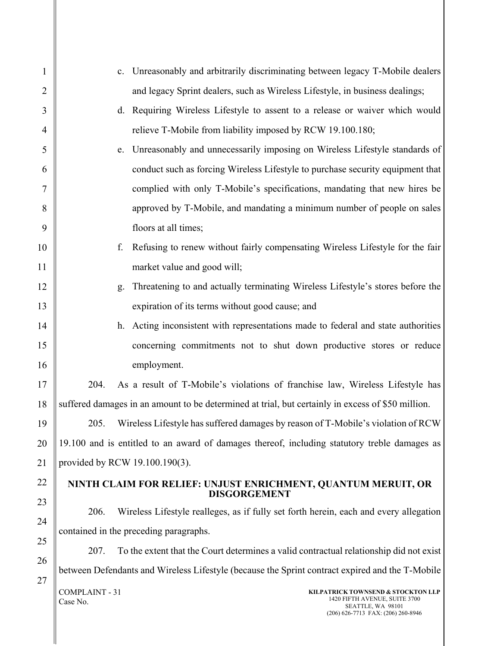| $\mathbf{1}$   | Unreasonably and arbitrarily discriminating between legacy T-Mobile dealers<br>c.                                             |  |
|----------------|-------------------------------------------------------------------------------------------------------------------------------|--|
| $\overline{2}$ | and legacy Sprint dealers, such as Wireless Lifestyle, in business dealings;                                                  |  |
| 3              | d. Requiring Wireless Lifestyle to assent to a release or waiver which would                                                  |  |
| $\overline{4}$ | relieve T-Mobile from liability imposed by RCW 19.100.180;                                                                    |  |
| 5              | Unreasonably and unnecessarily imposing on Wireless Lifestyle standards of<br>e.                                              |  |
| 6              | conduct such as forcing Wireless Lifestyle to purchase security equipment that                                                |  |
| $\tau$         | complied with only T-Mobile's specifications, mandating that new hires be                                                     |  |
| 8              | approved by T-Mobile, and mandating a minimum number of people on sales                                                       |  |
| 9              | floors at all times;                                                                                                          |  |
| 10             | Refusing to renew without fairly compensating Wireless Lifestyle for the fair<br>f.                                           |  |
| 11             | market value and good will;                                                                                                   |  |
| 12             | Threatening to and actually terminating Wireless Lifestyle's stores before the<br>g.                                          |  |
| 13             | expiration of its terms without good cause; and                                                                               |  |
| 14             | h. Acting inconsistent with representations made to federal and state authorities                                             |  |
| 15             | concerning commitments not to shut down productive stores or reduce                                                           |  |
| 16             | employment.                                                                                                                   |  |
| 17             | As a result of T-Mobile's violations of franchise law, Wireless Lifestyle has<br>204.                                         |  |
| 18             | suffered damages in an amount to be determined at trial, but certainly in excess of \$50 million.                             |  |
| 19             | 205.<br>Wireless Lifestyle has suffered damages by reason of T-Mobile's violation of RCW                                      |  |
| 20             | 19.100 and is entitled to an award of damages thereof, including statutory treble damages as                                  |  |
| 21             | provided by RCW 19.100.190(3).                                                                                                |  |
| 22             | NINTH CLAIM FOR RELIEF: UNJUST ENRICHMENT, QUANTUM MERUIT, OR<br><b>DISGORGEMENT</b>                                          |  |
| 23             | Wireless Lifestyle realleges, as if fully set forth herein, each and every allegation<br>206.                                 |  |
| 24             | contained in the preceding paragraphs.                                                                                        |  |
| 25             | To the extent that the Court determines a valid contractual relationship did not exist<br>207.                                |  |
| 26             | between Defendants and Wireless Lifestyle (because the Sprint contract expired and the T-Mobile                               |  |
| 27             | <b>COMPLAINT - 31</b><br>KILPATRICK TOWNSEND & STOCKTON LLP<br>1420 FIFTH AVENUE, SUITE 3700<br>Case No.<br>SEATTLE, WA 98101 |  |

(206) 626-7713 FAX: (206) 260-8946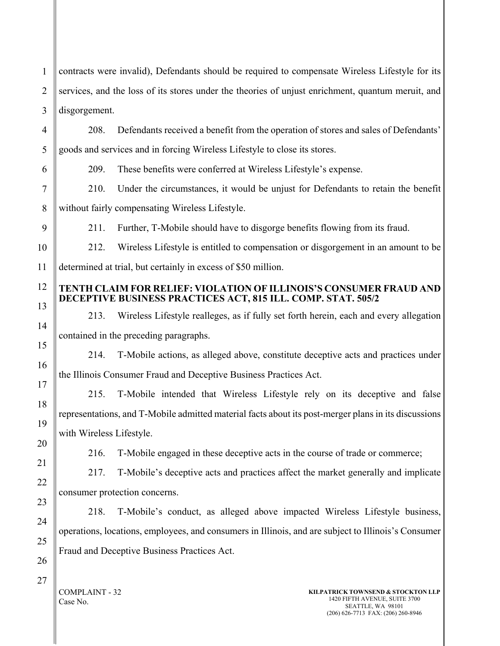1 2 3 contracts were invalid), Defendants should be required to compensate Wireless Lifestyle for its services, and the loss of its stores under the theories of unjust enrichment, quantum meruit, and disgorgement.

208. Defendants received a benefit from the operation of stores and sales of Defendants' goods and services and in forcing Wireless Lifestyle to close its stores.

209. These benefits were conferred at Wireless Lifestyle's expense.

210. Under the circumstances, it would be unjust for Defendants to retain the benefit without fairly compensating Wireless Lifestyle.

211. Further, T-Mobile should have to disgorge benefits flowing from its fraud.

212. Wireless Lifestyle is entitled to compensation or disgorgement in an amount to be determined at trial, but certainly in excess of \$50 million.

### **TENTH CLAIM FOR RELIEF: VIOLATION OF ILLINOIS'S CONSUMER FRAUD AND DECEPTIVE BUSINESS PRACTICES ACT, 815 ILL. COMP. STAT. 505/2**

213. Wireless Lifestyle realleges, as if fully set forth herein, each and every allegation contained in the preceding paragraphs.

214. T-Mobile actions, as alleged above, constitute deceptive acts and practices under the Illinois Consumer Fraud and Deceptive Business Practices Act.

215. T-Mobile intended that Wireless Lifestyle rely on its deceptive and false representations, and T-Mobile admitted material facts about its post-merger plans in its discussions with Wireless Lifestyle.

216. T-Mobile engaged in these deceptive acts in the course of trade or commerce;

217. T-Mobile's deceptive acts and practices affect the market generally and implicate consumer protection concerns.

218. T-Mobile's conduct, as alleged above impacted Wireless Lifestyle business, operations, locations, employees, and consumers in Illinois, and are subject to Illinois's Consumer Fraud and Deceptive Business Practices Act.

COMPLAINT - 32 Case No.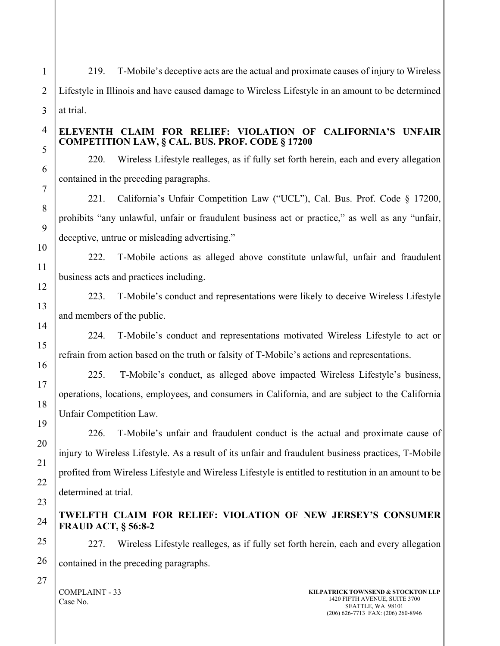219. T-Mobile's deceptive acts are the actual and proximate causes of injury to Wireless Lifestyle in Illinois and have caused damage to Wireless Lifestyle in an amount to be determined at trial.

### **ELEVENTH CLAIM FOR RELIEF: VIOLATION OF CALIFORNIA'S UNFAIR COMPETITION LAW, § CAL. BUS. PROF. CODE § 17200**

220. Wireless Lifestyle realleges, as if fully set forth herein, each and every allegation contained in the preceding paragraphs.

221. California's Unfair Competition Law ("UCL"), Cal. Bus. Prof. Code § 17200, prohibits "any unlawful, unfair or fraudulent business act or practice," as well as any "unfair, deceptive, untrue or misleading advertising."

222. T-Mobile actions as alleged above constitute unlawful, unfair and fraudulent business acts and practices including.

223. T-Mobile's conduct and representations were likely to deceive Wireless Lifestyle and members of the public.

224. T-Mobile's conduct and representations motivated Wireless Lifestyle to act or refrain from action based on the truth or falsity of T-Mobile's actions and representations.

225. T-Mobile's conduct, as alleged above impacted Wireless Lifestyle's business, operations, locations, employees, and consumers in California, and are subject to the California Unfair Competition Law.

226. T-Mobile's unfair and fraudulent conduct is the actual and proximate cause of injury to Wireless Lifestyle. As a result of its unfair and fraudulent business practices, T-Mobile profited from Wireless Lifestyle and Wireless Lifestyle is entitled to restitution in an amount to be determined at trial.

# **TWELFTH CLAIM FOR RELIEF: VIOLATION OF NEW JERSEY'S CONSUMER FRAUD ACT, § 56:8-2**

227. Wireless Lifestyle realleges, as if fully set forth herein, each and every allegation contained in the preceding paragraphs.

COMPLAINT - 33 Case No.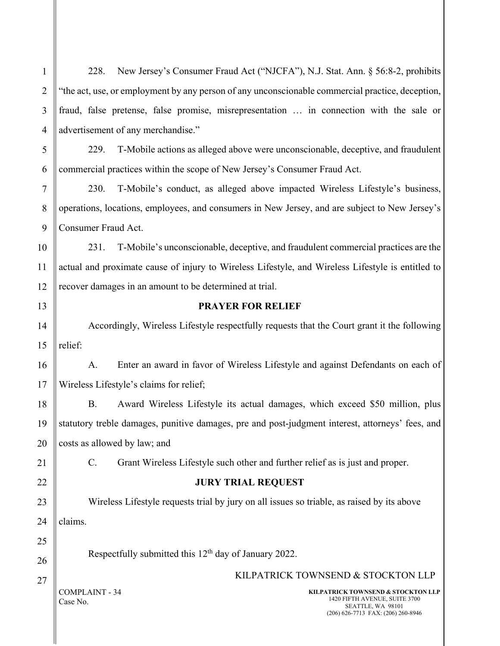| $\mathbf{1}$   | New Jersey's Consumer Fraud Act ("NJCFA"), N.J. Stat. Ann. § 56:8-2, prohibits<br>228.                                                                              |  |  |
|----------------|---------------------------------------------------------------------------------------------------------------------------------------------------------------------|--|--|
| $\overline{2}$ | "the act, use, or employment by any person of any unconscionable commercial practice, deception,                                                                    |  |  |
| 3              | fraud, false pretense, false promise, misrepresentation  in connection with the sale or                                                                             |  |  |
| $\overline{4}$ | advertisement of any merchandise."                                                                                                                                  |  |  |
| 5              | T-Mobile actions as alleged above were unconscionable, deceptive, and fraudulent<br>229.                                                                            |  |  |
| 6              | commercial practices within the scope of New Jersey's Consumer Fraud Act.                                                                                           |  |  |
| 7              | T-Mobile's conduct, as alleged above impacted Wireless Lifestyle's business,<br>230.                                                                                |  |  |
| 8              | operations, locations, employees, and consumers in New Jersey, and are subject to New Jersey's                                                                      |  |  |
| 9              | Consumer Fraud Act.                                                                                                                                                 |  |  |
| 10             | T-Mobile's unconscionable, deceptive, and fraudulent commercial practices are the<br>231.                                                                           |  |  |
| 11             | actual and proximate cause of injury to Wireless Lifestyle, and Wireless Lifestyle is entitled to                                                                   |  |  |
| 12             | recover damages in an amount to be determined at trial.                                                                                                             |  |  |
| 13             | <b>PRAYER FOR RELIEF</b>                                                                                                                                            |  |  |
| 14             | Accordingly, Wireless Lifestyle respectfully requests that the Court grant it the following                                                                         |  |  |
| 15             | relief:                                                                                                                                                             |  |  |
| 16             | Enter an award in favor of Wireless Lifestyle and against Defendants on each of<br>A.                                                                               |  |  |
| 17             | Wireless Lifestyle's claims for relief;                                                                                                                             |  |  |
| 18             | <b>B.</b><br>Award Wireless Lifestyle its actual damages, which exceed \$50 million, plus                                                                           |  |  |
| 19             | statutory treble damages, punitive damages, pre and post-judgment interest, attorneys' fees, and                                                                    |  |  |
| 20             | costs as allowed by law; and                                                                                                                                        |  |  |
| 21             | Grant Wireless Lifestyle such other and further relief as is just and proper.<br>$C_{\cdot}$                                                                        |  |  |
| 22             | <b>JURY TRIAL REQUEST</b>                                                                                                                                           |  |  |
| 23             | Wireless Lifestyle requests trial by jury on all issues so triable, as raised by its above                                                                          |  |  |
| 24             | claims.                                                                                                                                                             |  |  |
| 25             |                                                                                                                                                                     |  |  |
| 26             | Respectfully submitted this 12 <sup>th</sup> day of January 2022.                                                                                                   |  |  |
| 27             | KILPATRICK TOWNSEND & STOCKTON LLP                                                                                                                                  |  |  |
|                | <b>COMPLAINT - 34</b><br>KILPATRICK TOWNSEND & STOCKTON LLP<br>1420 FIFTH AVENUE, SUITE 3700<br>Case No.<br>SEATTLE, WA 98101<br>(206) 626-7713 FAX: (206) 260-8946 |  |  |